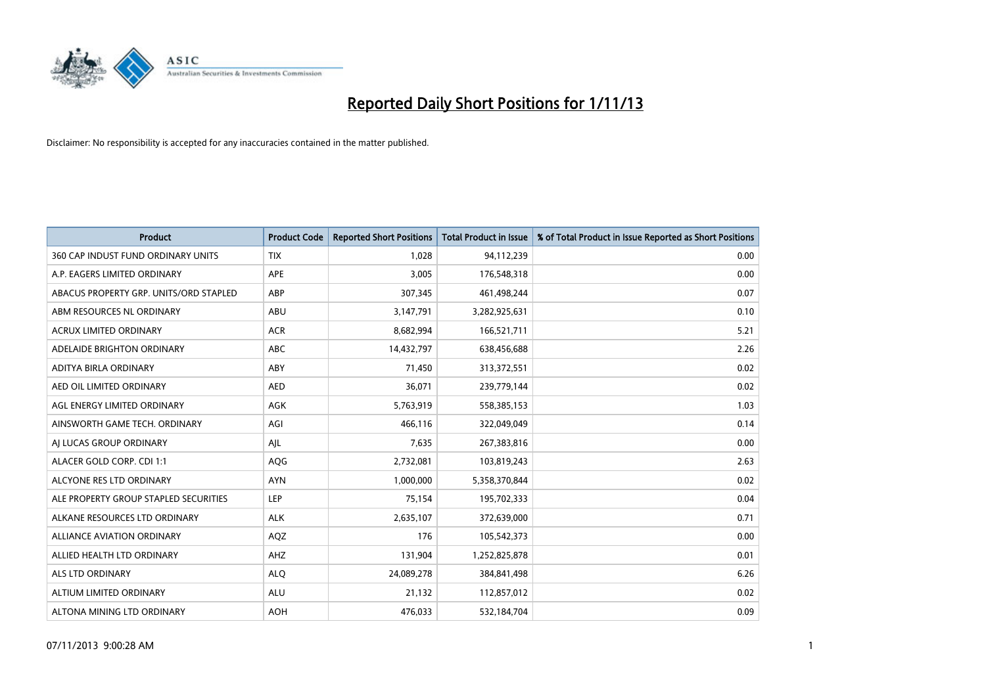

| <b>Product</b>                         | <b>Product Code</b> | <b>Reported Short Positions</b> | <b>Total Product in Issue</b> | % of Total Product in Issue Reported as Short Positions |
|----------------------------------------|---------------------|---------------------------------|-------------------------------|---------------------------------------------------------|
| 360 CAP INDUST FUND ORDINARY UNITS     | <b>TIX</b>          | 1,028                           | 94,112,239                    | 0.00                                                    |
| A.P. EAGERS LIMITED ORDINARY           | APE                 | 3,005                           | 176,548,318                   | 0.00                                                    |
| ABACUS PROPERTY GRP. UNITS/ORD STAPLED | ABP                 | 307,345                         | 461,498,244                   | 0.07                                                    |
| ABM RESOURCES NL ORDINARY              | ABU                 | 3,147,791                       | 3,282,925,631                 | 0.10                                                    |
| <b>ACRUX LIMITED ORDINARY</b>          | <b>ACR</b>          | 8,682,994                       | 166,521,711                   | 5.21                                                    |
| ADELAIDE BRIGHTON ORDINARY             | <b>ABC</b>          | 14,432,797                      | 638,456,688                   | 2.26                                                    |
| ADITYA BIRLA ORDINARY                  | ABY                 | 71,450                          | 313,372,551                   | 0.02                                                    |
| AED OIL LIMITED ORDINARY               | <b>AED</b>          | 36,071                          | 239,779,144                   | 0.02                                                    |
| AGL ENERGY LIMITED ORDINARY            | <b>AGK</b>          | 5,763,919                       | 558,385,153                   | 1.03                                                    |
| AINSWORTH GAME TECH. ORDINARY          | AGI                 | 466,116                         | 322,049,049                   | 0.14                                                    |
| AI LUCAS GROUP ORDINARY                | AJL                 | 7,635                           | 267,383,816                   | 0.00                                                    |
| ALACER GOLD CORP. CDI 1:1              | AQG                 | 2,732,081                       | 103,819,243                   | 2.63                                                    |
| ALCYONE RES LTD ORDINARY               | <b>AYN</b>          | 1,000,000                       | 5,358,370,844                 | 0.02                                                    |
| ALE PROPERTY GROUP STAPLED SECURITIES  | LEP                 | 75,154                          | 195,702,333                   | 0.04                                                    |
| ALKANE RESOURCES LTD ORDINARY          | <b>ALK</b>          | 2,635,107                       | 372,639,000                   | 0.71                                                    |
| ALLIANCE AVIATION ORDINARY             | AQZ                 | 176                             | 105,542,373                   | 0.00                                                    |
| ALLIED HEALTH LTD ORDINARY             | AHZ                 | 131,904                         | 1,252,825,878                 | 0.01                                                    |
| <b>ALS LTD ORDINARY</b>                | <b>ALQ</b>          | 24,089,278                      | 384, 841, 498                 | 6.26                                                    |
| ALTIUM LIMITED ORDINARY                | <b>ALU</b>          | 21,132                          | 112,857,012                   | 0.02                                                    |
| ALTONA MINING LTD ORDINARY             | <b>AOH</b>          | 476,033                         | 532,184,704                   | 0.09                                                    |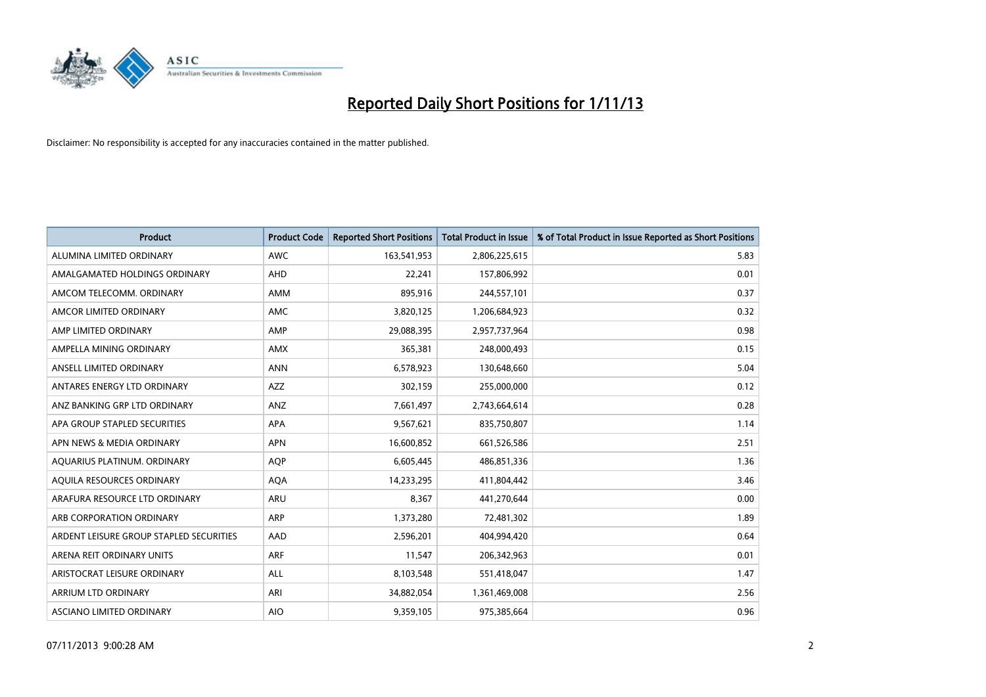

| <b>Product</b>                          | <b>Product Code</b> | <b>Reported Short Positions</b> | <b>Total Product in Issue</b> | % of Total Product in Issue Reported as Short Positions |
|-----------------------------------------|---------------------|---------------------------------|-------------------------------|---------------------------------------------------------|
| ALUMINA LIMITED ORDINARY                | <b>AWC</b>          | 163,541,953                     | 2,806,225,615                 | 5.83                                                    |
| AMALGAMATED HOLDINGS ORDINARY           | AHD                 | 22,241                          | 157,806,992                   | 0.01                                                    |
| AMCOM TELECOMM, ORDINARY                | AMM                 | 895,916                         | 244,557,101                   | 0.37                                                    |
| AMCOR LIMITED ORDINARY                  | <b>AMC</b>          | 3,820,125                       | 1,206,684,923                 | 0.32                                                    |
| AMP LIMITED ORDINARY                    | AMP                 | 29,088,395                      | 2,957,737,964                 | 0.98                                                    |
| AMPELLA MINING ORDINARY                 | <b>AMX</b>          | 365,381                         | 248,000,493                   | 0.15                                                    |
| ANSELL LIMITED ORDINARY                 | <b>ANN</b>          | 6,578,923                       | 130,648,660                   | 5.04                                                    |
| ANTARES ENERGY LTD ORDINARY             | AZZ                 | 302,159                         | 255,000,000                   | 0.12                                                    |
| ANZ BANKING GRP LTD ORDINARY            | ANZ                 | 7,661,497                       | 2,743,664,614                 | 0.28                                                    |
| APA GROUP STAPLED SECURITIES            | <b>APA</b>          | 9,567,621                       | 835,750,807                   | 1.14                                                    |
| APN NEWS & MEDIA ORDINARY               | <b>APN</b>          | 16,600,852                      | 661,526,586                   | 2.51                                                    |
| AQUARIUS PLATINUM. ORDINARY             | <b>AOP</b>          | 6,605,445                       | 486,851,336                   | 1.36                                                    |
| AQUILA RESOURCES ORDINARY               | <b>AQA</b>          | 14,233,295                      | 411,804,442                   | 3.46                                                    |
| ARAFURA RESOURCE LTD ORDINARY           | <b>ARU</b>          | 8,367                           | 441,270,644                   | 0.00                                                    |
| ARB CORPORATION ORDINARY                | ARP                 | 1,373,280                       | 72,481,302                    | 1.89                                                    |
| ARDENT LEISURE GROUP STAPLED SECURITIES | AAD                 | 2,596,201                       | 404,994,420                   | 0.64                                                    |
| ARENA REIT ORDINARY UNITS               | ARF                 | 11,547                          | 206,342,963                   | 0.01                                                    |
| ARISTOCRAT LEISURE ORDINARY             | <b>ALL</b>          | 8,103,548                       | 551,418,047                   | 1.47                                                    |
| ARRIUM LTD ORDINARY                     | ARI                 | 34,882,054                      | 1,361,469,008                 | 2.56                                                    |
| ASCIANO LIMITED ORDINARY                | <b>AIO</b>          | 9,359,105                       | 975,385,664                   | 0.96                                                    |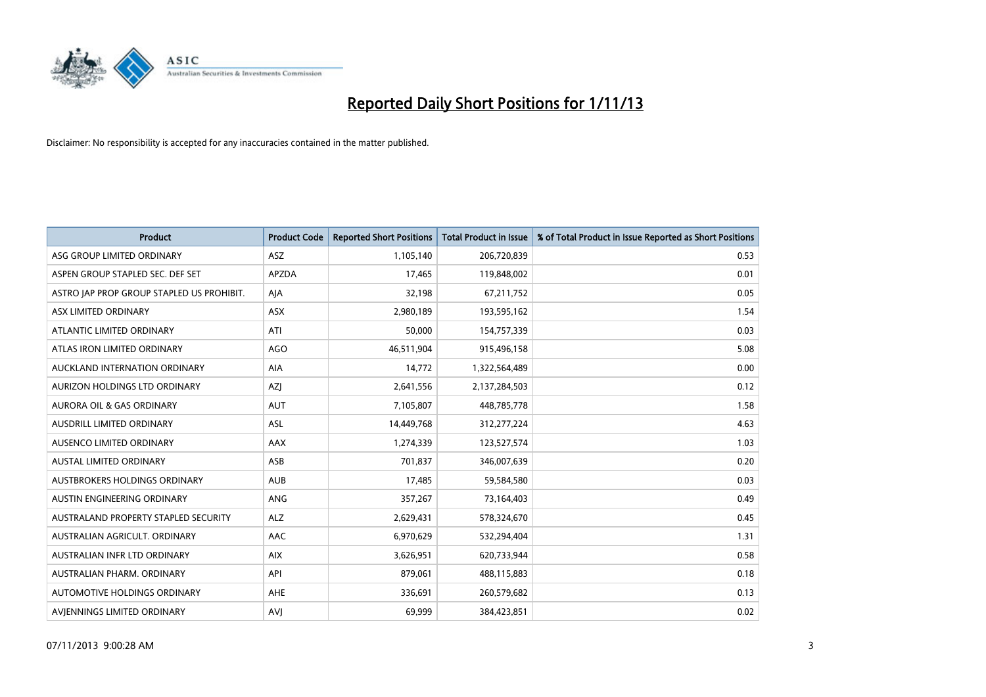

| <b>Product</b>                            | <b>Product Code</b> | <b>Reported Short Positions</b> | <b>Total Product in Issue</b> | % of Total Product in Issue Reported as Short Positions |
|-------------------------------------------|---------------------|---------------------------------|-------------------------------|---------------------------------------------------------|
| ASG GROUP LIMITED ORDINARY                | ASZ                 | 1,105,140                       | 206,720,839                   | 0.53                                                    |
| ASPEN GROUP STAPLED SEC. DEF SET          | <b>APZDA</b>        | 17,465                          | 119,848,002                   | 0.01                                                    |
| ASTRO JAP PROP GROUP STAPLED US PROHIBIT. | AJA                 | 32,198                          | 67,211,752                    | 0.05                                                    |
| ASX LIMITED ORDINARY                      | ASX                 | 2,980,189                       | 193,595,162                   | 1.54                                                    |
| ATLANTIC LIMITED ORDINARY                 | ATI                 | 50,000                          | 154,757,339                   | 0.03                                                    |
| ATLAS IRON LIMITED ORDINARY               | <b>AGO</b>          | 46,511,904                      | 915,496,158                   | 5.08                                                    |
| AUCKLAND INTERNATION ORDINARY             | AIA                 | 14,772                          | 1,322,564,489                 | 0.00                                                    |
| AURIZON HOLDINGS LTD ORDINARY             | AZJ                 | 2,641,556                       | 2,137,284,503                 | 0.12                                                    |
| <b>AURORA OIL &amp; GAS ORDINARY</b>      | <b>AUT</b>          | 7,105,807                       | 448,785,778                   | 1.58                                                    |
| AUSDRILL LIMITED ORDINARY                 | <b>ASL</b>          | 14,449,768                      | 312,277,224                   | 4.63                                                    |
| AUSENCO LIMITED ORDINARY                  | AAX                 | 1,274,339                       | 123,527,574                   | 1.03                                                    |
| AUSTAL LIMITED ORDINARY                   | ASB                 | 701,837                         | 346,007,639                   | 0.20                                                    |
| <b>AUSTBROKERS HOLDINGS ORDINARY</b>      | <b>AUB</b>          | 17,485                          | 59,584,580                    | 0.03                                                    |
| AUSTIN ENGINEERING ORDINARY               | <b>ANG</b>          | 357,267                         | 73,164,403                    | 0.49                                                    |
| AUSTRALAND PROPERTY STAPLED SECURITY      | <b>ALZ</b>          | 2,629,431                       | 578,324,670                   | 0.45                                                    |
| AUSTRALIAN AGRICULT. ORDINARY             | AAC                 | 6,970,629                       | 532,294,404                   | 1.31                                                    |
| AUSTRALIAN INFR LTD ORDINARY              | <b>AIX</b>          | 3,626,951                       | 620,733,944                   | 0.58                                                    |
| AUSTRALIAN PHARM, ORDINARY                | API                 | 879,061                         | 488,115,883                   | 0.18                                                    |
| AUTOMOTIVE HOLDINGS ORDINARY              | <b>AHE</b>          | 336,691                         | 260,579,682                   | 0.13                                                    |
| AVJENNINGS LIMITED ORDINARY               | <b>AVJ</b>          | 69,999                          | 384,423,851                   | 0.02                                                    |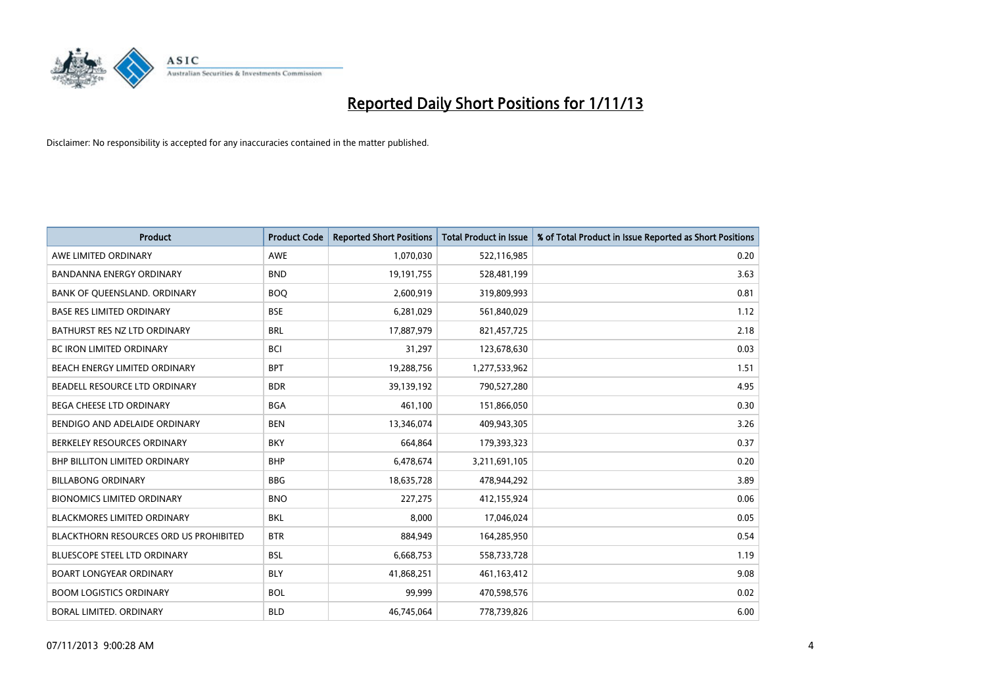

| <b>Product</b>                                | <b>Product Code</b> | <b>Reported Short Positions</b> | <b>Total Product in Issue</b> | % of Total Product in Issue Reported as Short Positions |
|-----------------------------------------------|---------------------|---------------------------------|-------------------------------|---------------------------------------------------------|
| AWE LIMITED ORDINARY                          | <b>AWE</b>          | 1,070,030                       | 522,116,985                   | 0.20                                                    |
| <b>BANDANNA ENERGY ORDINARY</b>               | <b>BND</b>          | 19,191,755                      | 528,481,199                   | 3.63                                                    |
| BANK OF QUEENSLAND. ORDINARY                  | <b>BOQ</b>          | 2,600,919                       | 319,809,993                   | 0.81                                                    |
| <b>BASE RES LIMITED ORDINARY</b>              | <b>BSE</b>          | 6,281,029                       | 561,840,029                   | 1.12                                                    |
| BATHURST RES NZ LTD ORDINARY                  | <b>BRL</b>          | 17,887,979                      | 821,457,725                   | 2.18                                                    |
| <b>BC IRON LIMITED ORDINARY</b>               | <b>BCI</b>          | 31,297                          | 123,678,630                   | 0.03                                                    |
| BEACH ENERGY LIMITED ORDINARY                 | <b>BPT</b>          | 19,288,756                      | 1,277,533,962                 | 1.51                                                    |
| BEADELL RESOURCE LTD ORDINARY                 | <b>BDR</b>          | 39,139,192                      | 790,527,280                   | 4.95                                                    |
| BEGA CHEESE LTD ORDINARY                      | <b>BGA</b>          | 461,100                         | 151,866,050                   | 0.30                                                    |
| BENDIGO AND ADELAIDE ORDINARY                 | <b>BEN</b>          | 13,346,074                      | 409,943,305                   | 3.26                                                    |
| BERKELEY RESOURCES ORDINARY                   | <b>BKY</b>          | 664,864                         | 179,393,323                   | 0.37                                                    |
| <b>BHP BILLITON LIMITED ORDINARY</b>          | <b>BHP</b>          | 6,478,674                       | 3,211,691,105                 | 0.20                                                    |
| <b>BILLABONG ORDINARY</b>                     | <b>BBG</b>          | 18,635,728                      | 478,944,292                   | 3.89                                                    |
| <b>BIONOMICS LIMITED ORDINARY</b>             | <b>BNO</b>          | 227,275                         | 412,155,924                   | 0.06                                                    |
| <b>BLACKMORES LIMITED ORDINARY</b>            | <b>BKL</b>          | 8,000                           | 17,046,024                    | 0.05                                                    |
| <b>BLACKTHORN RESOURCES ORD US PROHIBITED</b> | <b>BTR</b>          | 884,949                         | 164,285,950                   | 0.54                                                    |
| <b>BLUESCOPE STEEL LTD ORDINARY</b>           | <b>BSL</b>          | 6,668,753                       | 558,733,728                   | 1.19                                                    |
| BOART LONGYEAR ORDINARY                       | <b>BLY</b>          | 41,868,251                      | 461,163,412                   | 9.08                                                    |
| <b>BOOM LOGISTICS ORDINARY</b>                | <b>BOL</b>          | 99.999                          | 470,598,576                   | 0.02                                                    |
| BORAL LIMITED, ORDINARY                       | <b>BLD</b>          | 46,745,064                      | 778,739,826                   | 6.00                                                    |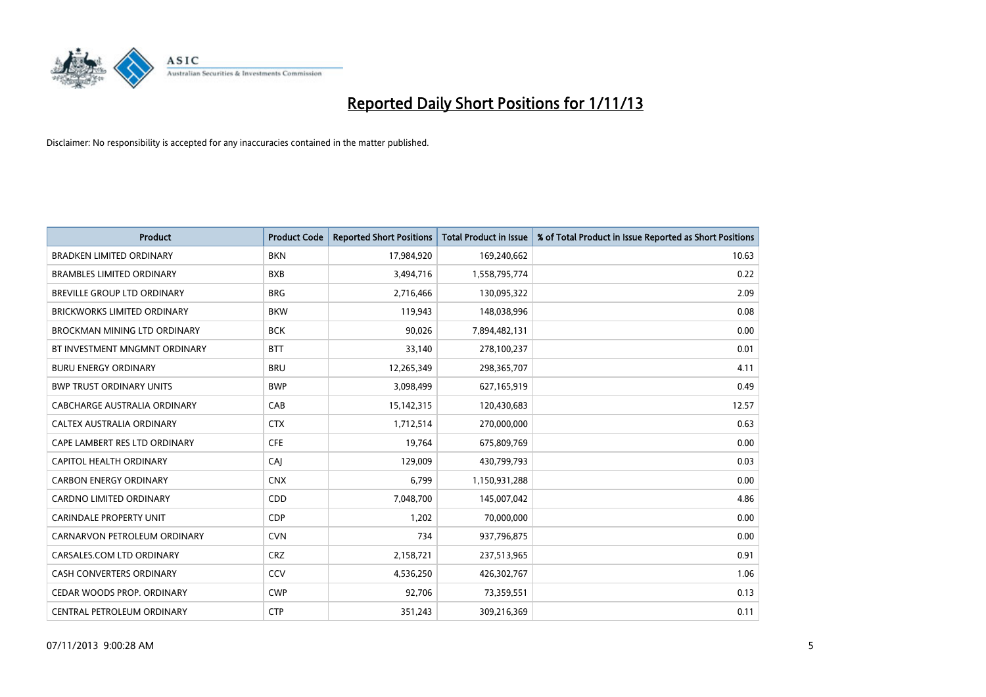

| <b>Product</b>                     | <b>Product Code</b> | <b>Reported Short Positions</b> | <b>Total Product in Issue</b> | % of Total Product in Issue Reported as Short Positions |
|------------------------------------|---------------------|---------------------------------|-------------------------------|---------------------------------------------------------|
| <b>BRADKEN LIMITED ORDINARY</b>    | <b>BKN</b>          | 17,984,920                      | 169,240,662                   | 10.63                                                   |
| <b>BRAMBLES LIMITED ORDINARY</b>   | <b>BXB</b>          | 3,494,716                       | 1,558,795,774                 | 0.22                                                    |
| BREVILLE GROUP LTD ORDINARY        | <b>BRG</b>          | 2,716,466                       | 130,095,322                   | 2.09                                                    |
| <b>BRICKWORKS LIMITED ORDINARY</b> | <b>BKW</b>          | 119,943                         | 148,038,996                   | 0.08                                                    |
| BROCKMAN MINING LTD ORDINARY       | <b>BCK</b>          | 90,026                          | 7,894,482,131                 | 0.00                                                    |
| BT INVESTMENT MNGMNT ORDINARY      | <b>BTT</b>          | 33,140                          | 278,100,237                   | 0.01                                                    |
| <b>BURU ENERGY ORDINARY</b>        | <b>BRU</b>          | 12,265,349                      | 298,365,707                   | 4.11                                                    |
| <b>BWP TRUST ORDINARY UNITS</b>    | <b>BWP</b>          | 3,098,499                       | 627,165,919                   | 0.49                                                    |
| CABCHARGE AUSTRALIA ORDINARY       | CAB                 | 15,142,315                      | 120,430,683                   | 12.57                                                   |
| CALTEX AUSTRALIA ORDINARY          | <b>CTX</b>          | 1,712,514                       | 270,000,000                   | 0.63                                                    |
| CAPE LAMBERT RES LTD ORDINARY      | <b>CFE</b>          | 19,764                          | 675,809,769                   | 0.00                                                    |
| CAPITOL HEALTH ORDINARY            | <b>CAJ</b>          | 129,009                         | 430,799,793                   | 0.03                                                    |
| <b>CARBON ENERGY ORDINARY</b>      | <b>CNX</b>          | 6,799                           | 1,150,931,288                 | 0.00                                                    |
| <b>CARDNO LIMITED ORDINARY</b>     | CDD                 | 7,048,700                       | 145,007,042                   | 4.86                                                    |
| <b>CARINDALE PROPERTY UNIT</b>     | <b>CDP</b>          | 1,202                           | 70,000,000                    | 0.00                                                    |
| CARNARVON PETROLEUM ORDINARY       | <b>CVN</b>          | 734                             | 937,796,875                   | 0.00                                                    |
| CARSALES.COM LTD ORDINARY          | <b>CRZ</b>          | 2,158,721                       | 237,513,965                   | 0.91                                                    |
| CASH CONVERTERS ORDINARY           | CCV                 | 4,536,250                       | 426,302,767                   | 1.06                                                    |
| CEDAR WOODS PROP. ORDINARY         | <b>CWP</b>          | 92,706                          | 73,359,551                    | 0.13                                                    |
| CENTRAL PETROLEUM ORDINARY         | <b>CTP</b>          | 351,243                         | 309,216,369                   | 0.11                                                    |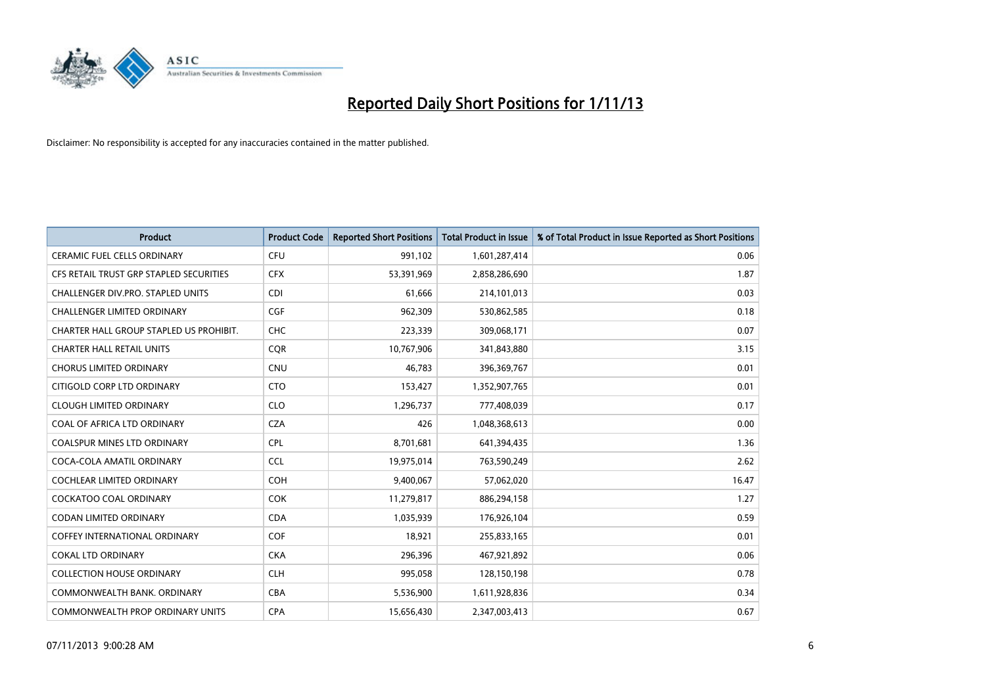

| <b>Product</b>                          | <b>Product Code</b> | <b>Reported Short Positions</b> | <b>Total Product in Issue</b> | % of Total Product in Issue Reported as Short Positions |
|-----------------------------------------|---------------------|---------------------------------|-------------------------------|---------------------------------------------------------|
| <b>CERAMIC FUEL CELLS ORDINARY</b>      | <b>CFU</b>          | 991,102                         | 1,601,287,414                 | 0.06                                                    |
| CFS RETAIL TRUST GRP STAPLED SECURITIES | <b>CFX</b>          | 53,391,969                      | 2,858,286,690                 | 1.87                                                    |
| CHALLENGER DIV.PRO. STAPLED UNITS       | <b>CDI</b>          | 61,666                          | 214,101,013                   | 0.03                                                    |
| <b>CHALLENGER LIMITED ORDINARY</b>      | <b>CGF</b>          | 962,309                         | 530,862,585                   | 0.18                                                    |
| CHARTER HALL GROUP STAPLED US PROHIBIT. | <b>CHC</b>          | 223,339                         | 309,068,171                   | 0.07                                                    |
| <b>CHARTER HALL RETAIL UNITS</b>        | <b>COR</b>          | 10,767,906                      | 341,843,880                   | 3.15                                                    |
| <b>CHORUS LIMITED ORDINARY</b>          | CNU                 | 46,783                          | 396,369,767                   | 0.01                                                    |
| CITIGOLD CORP LTD ORDINARY              | <b>CTO</b>          | 153,427                         | 1,352,907,765                 | 0.01                                                    |
| <b>CLOUGH LIMITED ORDINARY</b>          | <b>CLO</b>          | 1,296,737                       | 777,408,039                   | 0.17                                                    |
| COAL OF AFRICA LTD ORDINARY             | <b>CZA</b>          | 426                             | 1,048,368,613                 | 0.00                                                    |
| <b>COALSPUR MINES LTD ORDINARY</b>      | <b>CPL</b>          | 8,701,681                       | 641,394,435                   | 1.36                                                    |
| COCA-COLA AMATIL ORDINARY               | <b>CCL</b>          | 19,975,014                      | 763,590,249                   | 2.62                                                    |
| <b>COCHLEAR LIMITED ORDINARY</b>        | <b>COH</b>          | 9,400,067                       | 57,062,020                    | 16.47                                                   |
| <b>COCKATOO COAL ORDINARY</b>           | <b>COK</b>          | 11,279,817                      | 886,294,158                   | 1.27                                                    |
| <b>CODAN LIMITED ORDINARY</b>           | <b>CDA</b>          | 1,035,939                       | 176,926,104                   | 0.59                                                    |
| <b>COFFEY INTERNATIONAL ORDINARY</b>    | COF                 | 18,921                          | 255,833,165                   | 0.01                                                    |
| <b>COKAL LTD ORDINARY</b>               | <b>CKA</b>          | 296,396                         | 467,921,892                   | 0.06                                                    |
| <b>COLLECTION HOUSE ORDINARY</b>        | <b>CLH</b>          | 995,058                         | 128,150,198                   | 0.78                                                    |
| COMMONWEALTH BANK, ORDINARY             | <b>CBA</b>          | 5,536,900                       | 1,611,928,836                 | 0.34                                                    |
| COMMONWEALTH PROP ORDINARY UNITS        | <b>CPA</b>          | 15,656,430                      | 2,347,003,413                 | 0.67                                                    |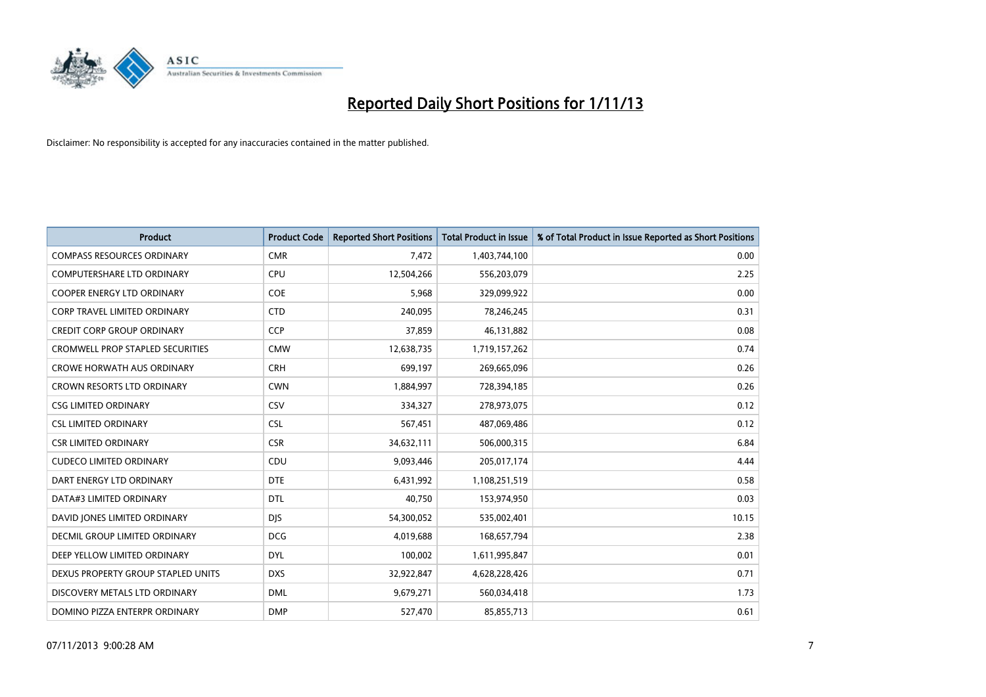

| <b>Product</b>                          | <b>Product Code</b> | <b>Reported Short Positions</b> | <b>Total Product in Issue</b> | % of Total Product in Issue Reported as Short Positions |
|-----------------------------------------|---------------------|---------------------------------|-------------------------------|---------------------------------------------------------|
| <b>COMPASS RESOURCES ORDINARY</b>       | <b>CMR</b>          | 7,472                           | 1,403,744,100                 | 0.00                                                    |
| COMPUTERSHARE LTD ORDINARY              | <b>CPU</b>          | 12,504,266                      | 556,203,079                   | 2.25                                                    |
| <b>COOPER ENERGY LTD ORDINARY</b>       | <b>COE</b>          | 5,968                           | 329,099,922                   | 0.00                                                    |
| CORP TRAVEL LIMITED ORDINARY            | <b>CTD</b>          | 240,095                         | 78,246,245                    | 0.31                                                    |
| <b>CREDIT CORP GROUP ORDINARY</b>       | <b>CCP</b>          | 37,859                          | 46,131,882                    | 0.08                                                    |
| <b>CROMWELL PROP STAPLED SECURITIES</b> | <b>CMW</b>          | 12,638,735                      | 1,719,157,262                 | 0.74                                                    |
| <b>CROWE HORWATH AUS ORDINARY</b>       | <b>CRH</b>          | 699,197                         | 269,665,096                   | 0.26                                                    |
| <b>CROWN RESORTS LTD ORDINARY</b>       | <b>CWN</b>          | 1,884,997                       | 728,394,185                   | 0.26                                                    |
| <b>CSG LIMITED ORDINARY</b>             | CSV                 | 334,327                         | 278,973,075                   | 0.12                                                    |
| <b>CSL LIMITED ORDINARY</b>             | <b>CSL</b>          | 567,451                         | 487,069,486                   | 0.12                                                    |
| <b>CSR LIMITED ORDINARY</b>             | <b>CSR</b>          | 34,632,111                      | 506,000,315                   | 6.84                                                    |
| <b>CUDECO LIMITED ORDINARY</b>          | CDU                 | 9,093,446                       | 205,017,174                   | 4.44                                                    |
| DART ENERGY LTD ORDINARY                | <b>DTE</b>          | 6,431,992                       | 1,108,251,519                 | 0.58                                                    |
| DATA#3 LIMITED ORDINARY                 | <b>DTL</b>          | 40,750                          | 153,974,950                   | 0.03                                                    |
| DAVID JONES LIMITED ORDINARY            | <b>DJS</b>          | 54,300,052                      | 535,002,401                   | 10.15                                                   |
| <b>DECMIL GROUP LIMITED ORDINARY</b>    | <b>DCG</b>          | 4,019,688                       | 168,657,794                   | 2.38                                                    |
| DEEP YELLOW LIMITED ORDINARY            | <b>DYL</b>          | 100,002                         | 1,611,995,847                 | 0.01                                                    |
| DEXUS PROPERTY GROUP STAPLED UNITS      | <b>DXS</b>          | 32,922,847                      | 4,628,228,426                 | 0.71                                                    |
| DISCOVERY METALS LTD ORDINARY           | <b>DML</b>          | 9,679,271                       | 560,034,418                   | 1.73                                                    |
| DOMINO PIZZA ENTERPR ORDINARY           | <b>DMP</b>          | 527,470                         | 85,855,713                    | 0.61                                                    |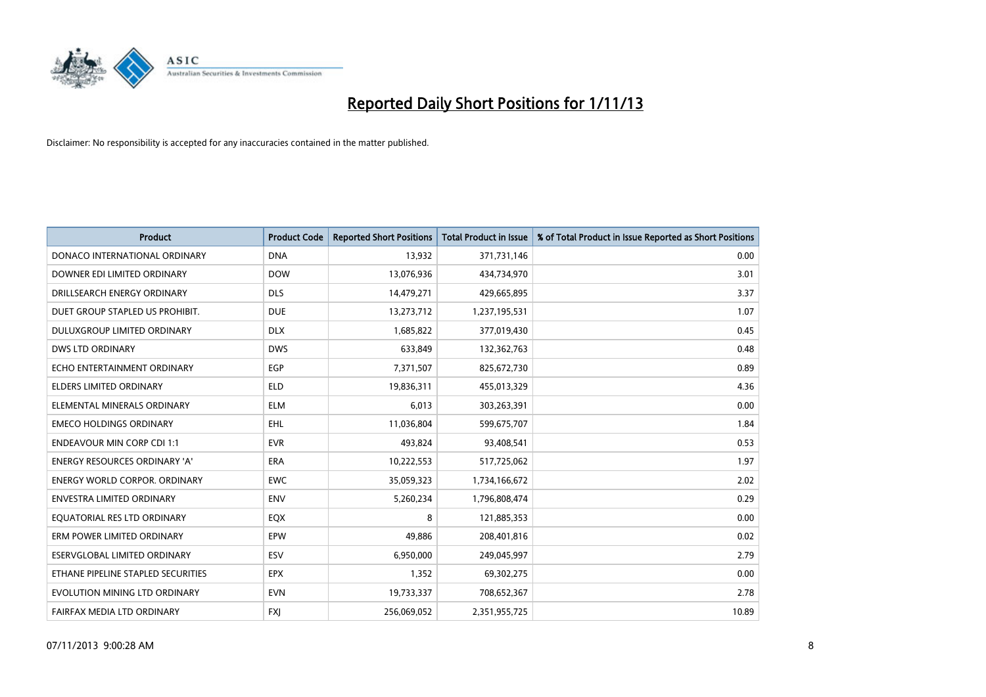

| <b>Product</b>                       | <b>Product Code</b> | <b>Reported Short Positions</b> | <b>Total Product in Issue</b> | % of Total Product in Issue Reported as Short Positions |
|--------------------------------------|---------------------|---------------------------------|-------------------------------|---------------------------------------------------------|
| DONACO INTERNATIONAL ORDINARY        | <b>DNA</b>          | 13,932                          | 371,731,146                   | 0.00                                                    |
| DOWNER EDI LIMITED ORDINARY          | <b>DOW</b>          | 13,076,936                      | 434,734,970                   | 3.01                                                    |
| DRILLSEARCH ENERGY ORDINARY          | <b>DLS</b>          | 14,479,271                      | 429,665,895                   | 3.37                                                    |
| DUET GROUP STAPLED US PROHIBIT.      | <b>DUE</b>          | 13,273,712                      | 1,237,195,531                 | 1.07                                                    |
| DULUXGROUP LIMITED ORDINARY          | <b>DLX</b>          | 1,685,822                       | 377,019,430                   | 0.45                                                    |
| <b>DWS LTD ORDINARY</b>              | <b>DWS</b>          | 633,849                         | 132,362,763                   | 0.48                                                    |
| ECHO ENTERTAINMENT ORDINARY          | <b>EGP</b>          | 7,371,507                       | 825,672,730                   | 0.89                                                    |
| ELDERS LIMITED ORDINARY              | <b>ELD</b>          | 19,836,311                      | 455,013,329                   | 4.36                                                    |
| ELEMENTAL MINERALS ORDINARY          | <b>ELM</b>          | 6,013                           | 303,263,391                   | 0.00                                                    |
| <b>EMECO HOLDINGS ORDINARY</b>       | <b>EHL</b>          | 11,036,804                      | 599,675,707                   | 1.84                                                    |
| <b>ENDEAVOUR MIN CORP CDI 1:1</b>    | <b>EVR</b>          | 493,824                         | 93,408,541                    | 0.53                                                    |
| <b>ENERGY RESOURCES ORDINARY 'A'</b> | ERA                 | 10,222,553                      | 517,725,062                   | 1.97                                                    |
| ENERGY WORLD CORPOR. ORDINARY        | <b>EWC</b>          | 35,059,323                      | 1,734,166,672                 | 2.02                                                    |
| <b>ENVESTRA LIMITED ORDINARY</b>     | <b>ENV</b>          | 5,260,234                       | 1,796,808,474                 | 0.29                                                    |
| EQUATORIAL RES LTD ORDINARY          | EQX                 | 8                               | 121,885,353                   | 0.00                                                    |
| ERM POWER LIMITED ORDINARY           | EPW                 | 49,886                          | 208,401,816                   | 0.02                                                    |
| ESERVGLOBAL LIMITED ORDINARY         | ESV                 | 6,950,000                       | 249,045,997                   | 2.79                                                    |
| ETHANE PIPELINE STAPLED SECURITIES   | <b>EPX</b>          | 1,352                           | 69,302,275                    | 0.00                                                    |
| EVOLUTION MINING LTD ORDINARY        | <b>EVN</b>          | 19,733,337                      | 708,652,367                   | 2.78                                                    |
| FAIRFAX MEDIA LTD ORDINARY           | <b>FXJ</b>          | 256,069,052                     | 2,351,955,725                 | 10.89                                                   |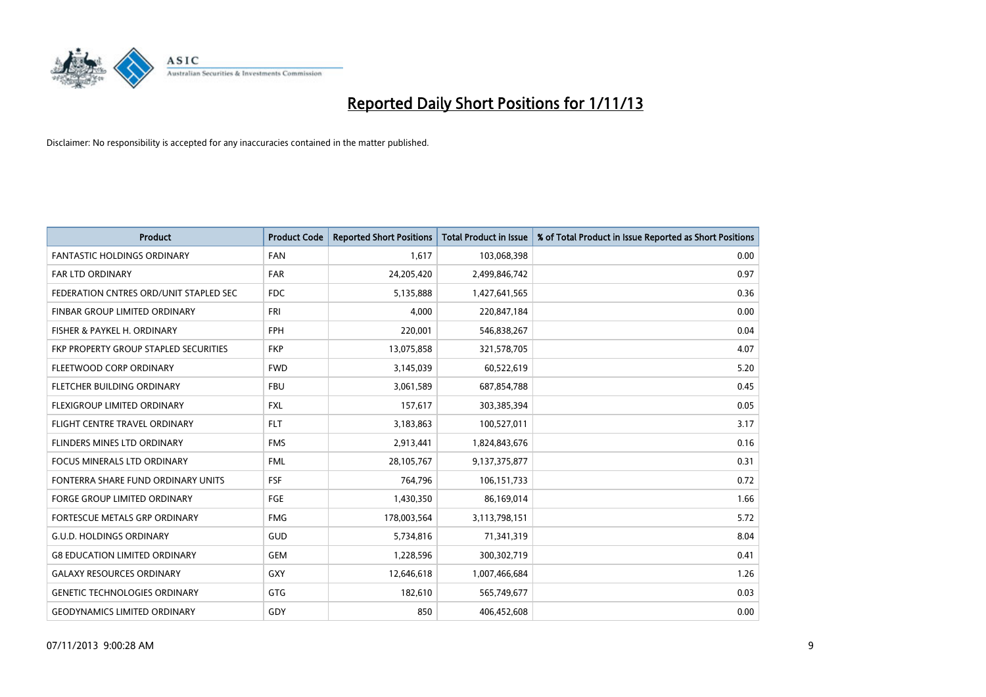

| <b>Product</b>                         | <b>Product Code</b> | <b>Reported Short Positions</b> | <b>Total Product in Issue</b> | % of Total Product in Issue Reported as Short Positions |
|----------------------------------------|---------------------|---------------------------------|-------------------------------|---------------------------------------------------------|
| <b>FANTASTIC HOLDINGS ORDINARY</b>     | <b>FAN</b>          | 1,617                           | 103,068,398                   | 0.00                                                    |
| FAR LTD ORDINARY                       | FAR                 | 24,205,420                      | 2,499,846,742                 | 0.97                                                    |
| FEDERATION CNTRES ORD/UNIT STAPLED SEC | FDC                 | 5,135,888                       | 1,427,641,565                 | 0.36                                                    |
| FINBAR GROUP LIMITED ORDINARY          | <b>FRI</b>          | 4,000                           | 220,847,184                   | 0.00                                                    |
| FISHER & PAYKEL H. ORDINARY            | <b>FPH</b>          | 220,001                         | 546,838,267                   | 0.04                                                    |
| FKP PROPERTY GROUP STAPLED SECURITIES  | <b>FKP</b>          | 13,075,858                      | 321,578,705                   | 4.07                                                    |
| FLEETWOOD CORP ORDINARY                | <b>FWD</b>          | 3,145,039                       | 60,522,619                    | 5.20                                                    |
| FLETCHER BUILDING ORDINARY             | <b>FBU</b>          | 3,061,589                       | 687,854,788                   | 0.45                                                    |
| FLEXIGROUP LIMITED ORDINARY            | <b>FXL</b>          | 157,617                         | 303,385,394                   | 0.05                                                    |
| FLIGHT CENTRE TRAVEL ORDINARY          | <b>FLT</b>          | 3,183,863                       | 100,527,011                   | 3.17                                                    |
| FLINDERS MINES LTD ORDINARY            | <b>FMS</b>          | 2,913,441                       | 1,824,843,676                 | 0.16                                                    |
| <b>FOCUS MINERALS LTD ORDINARY</b>     | <b>FML</b>          | 28,105,767                      | 9,137,375,877                 | 0.31                                                    |
| FONTERRA SHARE FUND ORDINARY UNITS     | <b>FSF</b>          | 764,796                         | 106,151,733                   | 0.72                                                    |
| <b>FORGE GROUP LIMITED ORDINARY</b>    | FGE                 | 1,430,350                       | 86,169,014                    | 1.66                                                    |
| FORTESCUE METALS GRP ORDINARY          | <b>FMG</b>          | 178,003,564                     | 3,113,798,151                 | 5.72                                                    |
| <b>G.U.D. HOLDINGS ORDINARY</b>        | <b>GUD</b>          | 5,734,816                       | 71,341,319                    | 8.04                                                    |
| <b>G8 EDUCATION LIMITED ORDINARY</b>   | <b>GEM</b>          | 1,228,596                       | 300,302,719                   | 0.41                                                    |
| <b>GALAXY RESOURCES ORDINARY</b>       | GXY                 | 12,646,618                      | 1,007,466,684                 | 1.26                                                    |
| <b>GENETIC TECHNOLOGIES ORDINARY</b>   | GTG                 | 182,610                         | 565,749,677                   | 0.03                                                    |
| <b>GEODYNAMICS LIMITED ORDINARY</b>    | GDY                 | 850                             | 406,452,608                   | 0.00                                                    |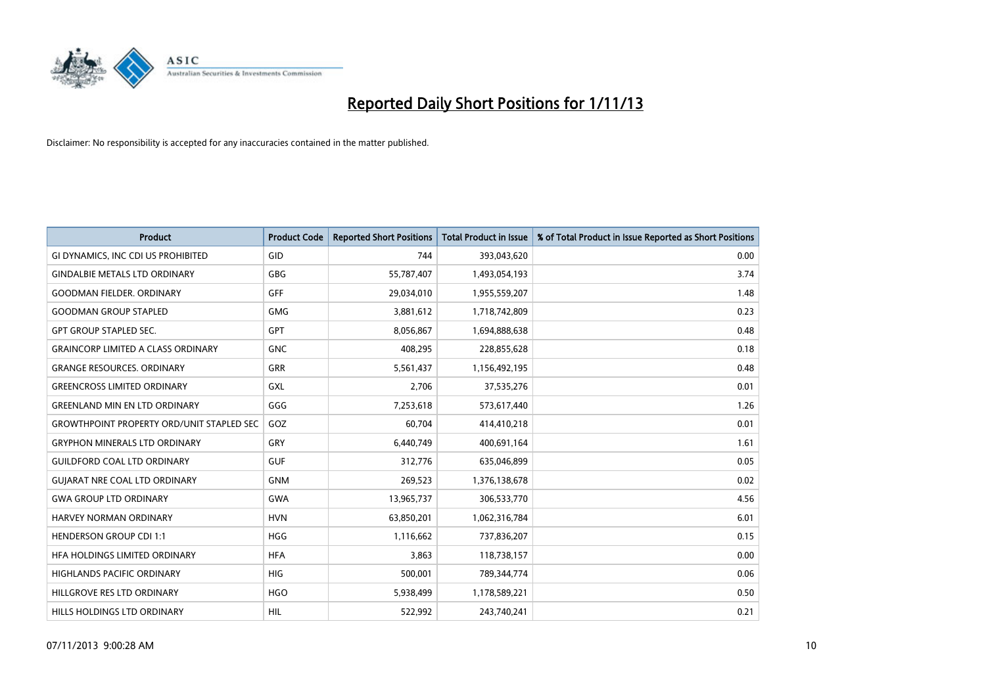

| <b>Product</b>                                   | <b>Product Code</b> | <b>Reported Short Positions</b> | <b>Total Product in Issue</b> | % of Total Product in Issue Reported as Short Positions |
|--------------------------------------------------|---------------------|---------------------------------|-------------------------------|---------------------------------------------------------|
| GI DYNAMICS, INC CDI US PROHIBITED               | GID                 | 744                             | 393,043,620                   | 0.00                                                    |
| <b>GINDALBIE METALS LTD ORDINARY</b>             | <b>GBG</b>          | 55,787,407                      | 1,493,054,193                 | 3.74                                                    |
| <b>GOODMAN FIELDER, ORDINARY</b>                 | GFF                 | 29,034,010                      | 1,955,559,207                 | 1.48                                                    |
| <b>GOODMAN GROUP STAPLED</b>                     | <b>GMG</b>          | 3,881,612                       | 1,718,742,809                 | 0.23                                                    |
| <b>GPT GROUP STAPLED SEC.</b>                    | GPT                 | 8,056,867                       | 1,694,888,638                 | 0.48                                                    |
| <b>GRAINCORP LIMITED A CLASS ORDINARY</b>        | <b>GNC</b>          | 408,295                         | 228,855,628                   | 0.18                                                    |
| <b>GRANGE RESOURCES, ORDINARY</b>                | GRR                 | 5,561,437                       | 1,156,492,195                 | 0.48                                                    |
| <b>GREENCROSS LIMITED ORDINARY</b>               | GXL                 | 2,706                           | 37,535,276                    | 0.01                                                    |
| <b>GREENLAND MIN EN LTD ORDINARY</b>             | GGG                 | 7,253,618                       | 573,617,440                   | 1.26                                                    |
| <b>GROWTHPOINT PROPERTY ORD/UNIT STAPLED SEC</b> | GOZ                 | 60,704                          | 414,410,218                   | 0.01                                                    |
| <b>GRYPHON MINERALS LTD ORDINARY</b>             | GRY                 | 6,440,749                       | 400,691,164                   | 1.61                                                    |
| <b>GUILDFORD COAL LTD ORDINARY</b>               | <b>GUF</b>          | 312,776                         | 635,046,899                   | 0.05                                                    |
| <b>GUIARAT NRE COAL LTD ORDINARY</b>             | <b>GNM</b>          | 269,523                         | 1,376,138,678                 | 0.02                                                    |
| <b>GWA GROUP LTD ORDINARY</b>                    | GWA                 | 13,965,737                      | 306,533,770                   | 4.56                                                    |
| HARVEY NORMAN ORDINARY                           | <b>HVN</b>          | 63,850,201                      | 1,062,316,784                 | 6.01                                                    |
| <b>HENDERSON GROUP CDI 1:1</b>                   | <b>HGG</b>          | 1,116,662                       | 737,836,207                   | 0.15                                                    |
| HFA HOLDINGS LIMITED ORDINARY                    | <b>HFA</b>          | 3,863                           | 118,738,157                   | 0.00                                                    |
| HIGHLANDS PACIFIC ORDINARY                       | <b>HIG</b>          | 500,001                         | 789,344,774                   | 0.06                                                    |
| HILLGROVE RES LTD ORDINARY                       | <b>HGO</b>          | 5,938,499                       | 1,178,589,221                 | 0.50                                                    |
| HILLS HOLDINGS LTD ORDINARY                      | <b>HIL</b>          | 522,992                         | 243,740,241                   | 0.21                                                    |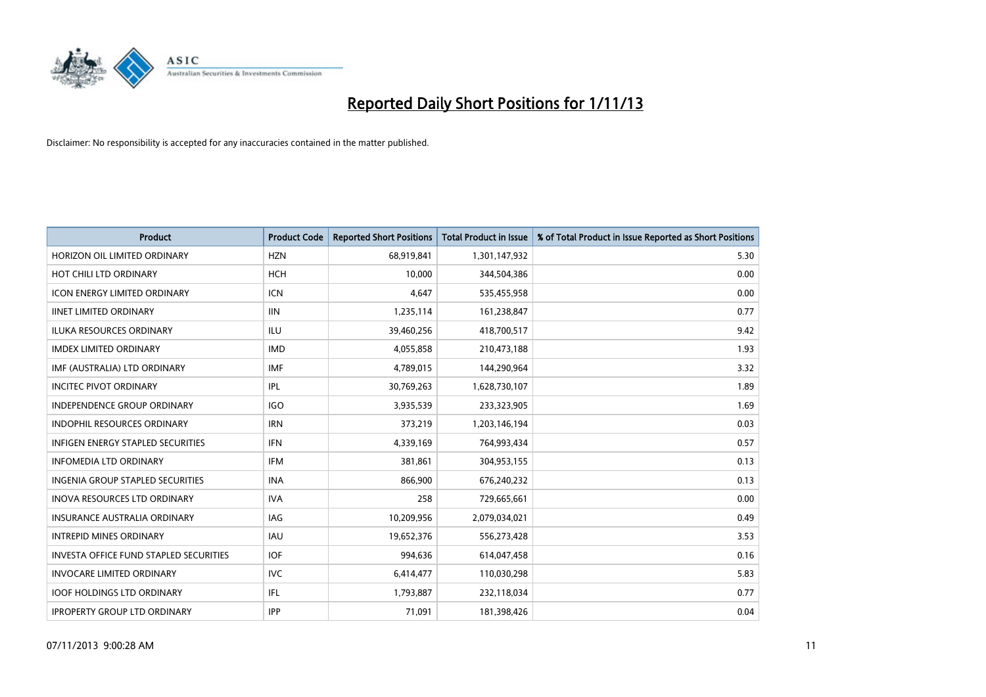

| <b>Product</b>                           | <b>Product Code</b> | <b>Reported Short Positions</b> | <b>Total Product in Issue</b> | % of Total Product in Issue Reported as Short Positions |
|------------------------------------------|---------------------|---------------------------------|-------------------------------|---------------------------------------------------------|
| HORIZON OIL LIMITED ORDINARY             | <b>HZN</b>          | 68,919,841                      | 1,301,147,932                 | 5.30                                                    |
| HOT CHILI LTD ORDINARY                   | <b>HCH</b>          | 10,000                          | 344,504,386                   | 0.00                                                    |
| <b>ICON ENERGY LIMITED ORDINARY</b>      | ICN                 | 4,647                           | 535,455,958                   | 0.00                                                    |
| <b>IINET LIMITED ORDINARY</b>            | <b>IIN</b>          | 1,235,114                       | 161,238,847                   | 0.77                                                    |
| <b>ILUKA RESOURCES ORDINARY</b>          | ILU                 | 39,460,256                      | 418,700,517                   | 9.42                                                    |
| <b>IMDEX LIMITED ORDINARY</b>            | <b>IMD</b>          | 4,055,858                       | 210,473,188                   | 1.93                                                    |
| IMF (AUSTRALIA) LTD ORDINARY             | <b>IMF</b>          | 4,789,015                       | 144,290,964                   | 3.32                                                    |
| <b>INCITEC PIVOT ORDINARY</b>            | IPL                 | 30,769,263                      | 1,628,730,107                 | 1.89                                                    |
| <b>INDEPENDENCE GROUP ORDINARY</b>       | IGO                 | 3,935,539                       | 233,323,905                   | 1.69                                                    |
| <b>INDOPHIL RESOURCES ORDINARY</b>       | <b>IRN</b>          | 373,219                         | 1,203,146,194                 | 0.03                                                    |
| <b>INFIGEN ENERGY STAPLED SECURITIES</b> | <b>IFN</b>          | 4,339,169                       | 764,993,434                   | 0.57                                                    |
| <b>INFOMEDIA LTD ORDINARY</b>            | IFM                 | 381,861                         | 304,953,155                   | 0.13                                                    |
| <b>INGENIA GROUP STAPLED SECURITIES</b>  | <b>INA</b>          | 866,900                         | 676,240,232                   | 0.13                                                    |
| <b>INOVA RESOURCES LTD ORDINARY</b>      | <b>IVA</b>          | 258                             | 729,665,661                   | 0.00                                                    |
| <b>INSURANCE AUSTRALIA ORDINARY</b>      | IAG                 | 10,209,956                      | 2,079,034,021                 | 0.49                                                    |
| <b>INTREPID MINES ORDINARY</b>           | <b>IAU</b>          | 19,652,376                      | 556,273,428                   | 3.53                                                    |
| INVESTA OFFICE FUND STAPLED SECURITIES   | <b>IOF</b>          | 994,636                         | 614,047,458                   | 0.16                                                    |
| <b>INVOCARE LIMITED ORDINARY</b>         | <b>IVC</b>          | 6,414,477                       | 110,030,298                   | 5.83                                                    |
| <b>IOOF HOLDINGS LTD ORDINARY</b>        | IFL                 | 1,793,887                       | 232,118,034                   | 0.77                                                    |
| <b>IPROPERTY GROUP LTD ORDINARY</b>      | <b>IPP</b>          | 71,091                          | 181,398,426                   | 0.04                                                    |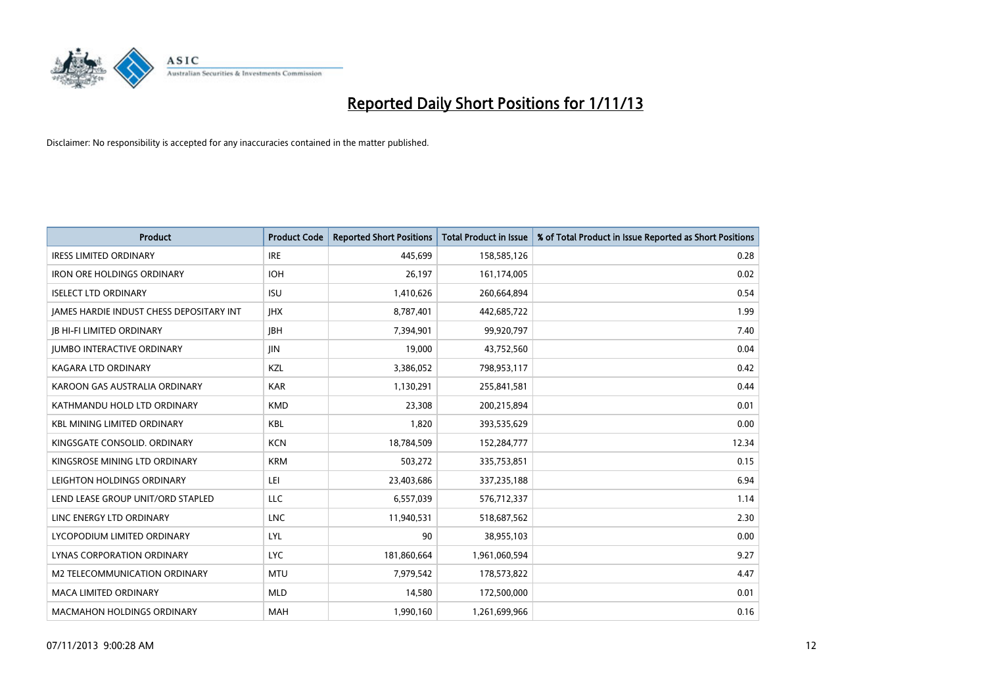

| <b>Product</b>                                  | <b>Product Code</b> | <b>Reported Short Positions</b> | <b>Total Product in Issue</b> | % of Total Product in Issue Reported as Short Positions |
|-------------------------------------------------|---------------------|---------------------------------|-------------------------------|---------------------------------------------------------|
| <b>IRESS LIMITED ORDINARY</b>                   | <b>IRE</b>          | 445,699                         | 158,585,126                   | 0.28                                                    |
| <b>IRON ORE HOLDINGS ORDINARY</b>               | <b>IOH</b>          | 26,197                          | 161,174,005                   | 0.02                                                    |
| <b>ISELECT LTD ORDINARY</b>                     | <b>ISU</b>          | 1,410,626                       | 260,664,894                   | 0.54                                                    |
| <b>JAMES HARDIE INDUST CHESS DEPOSITARY INT</b> | <b>IHX</b>          | 8,787,401                       | 442,685,722                   | 1.99                                                    |
| <b>IB HI-FI LIMITED ORDINARY</b>                | <b>JBH</b>          | 7,394,901                       | 99,920,797                    | 7.40                                                    |
| <b>JUMBO INTERACTIVE ORDINARY</b>               | <b>JIN</b>          | 19,000                          | 43,752,560                    | 0.04                                                    |
| <b>KAGARA LTD ORDINARY</b>                      | KZL                 | 3,386,052                       | 798,953,117                   | 0.42                                                    |
| KAROON GAS AUSTRALIA ORDINARY                   | <b>KAR</b>          | 1,130,291                       | 255,841,581                   | 0.44                                                    |
| KATHMANDU HOLD LTD ORDINARY                     | <b>KMD</b>          | 23,308                          | 200,215,894                   | 0.01                                                    |
| <b>KBL MINING LIMITED ORDINARY</b>              | <b>KBL</b>          | 1,820                           | 393,535,629                   | 0.00                                                    |
| KINGSGATE CONSOLID. ORDINARY                    | <b>KCN</b>          | 18,784,509                      | 152,284,777                   | 12.34                                                   |
| KINGSROSE MINING LTD ORDINARY                   | <b>KRM</b>          | 503,272                         | 335,753,851                   | 0.15                                                    |
| LEIGHTON HOLDINGS ORDINARY                      | LEI                 | 23,403,686                      | 337,235,188                   | 6.94                                                    |
| LEND LEASE GROUP UNIT/ORD STAPLED               | LLC                 | 6,557,039                       | 576,712,337                   | 1.14                                                    |
| LINC ENERGY LTD ORDINARY                        | <b>LNC</b>          | 11,940,531                      | 518,687,562                   | 2.30                                                    |
| LYCOPODIUM LIMITED ORDINARY                     | LYL                 | 90                              | 38,955,103                    | 0.00                                                    |
| LYNAS CORPORATION ORDINARY                      | <b>LYC</b>          | 181,860,664                     | 1,961,060,594                 | 9.27                                                    |
| M2 TELECOMMUNICATION ORDINARY                   | <b>MTU</b>          | 7,979,542                       | 178,573,822                   | 4.47                                                    |
| <b>MACA LIMITED ORDINARY</b>                    | <b>MLD</b>          | 14,580                          | 172,500,000                   | 0.01                                                    |
| <b>MACMAHON HOLDINGS ORDINARY</b>               | <b>MAH</b>          | 1,990,160                       | 1,261,699,966                 | 0.16                                                    |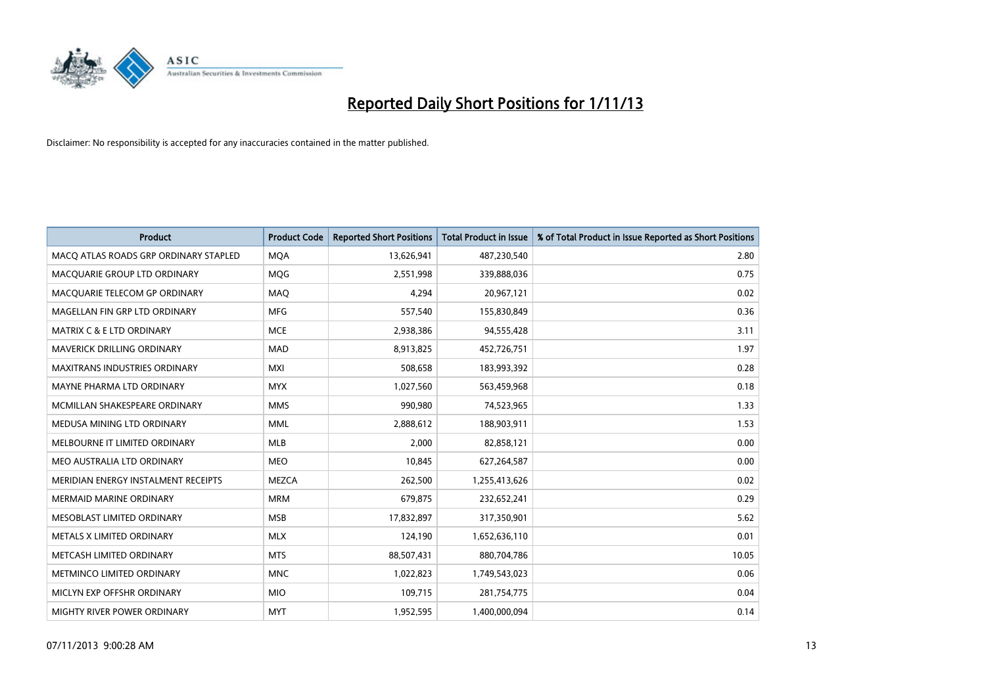

| <b>Product</b>                        | <b>Product Code</b> | <b>Reported Short Positions</b> | <b>Total Product in Issue</b> | % of Total Product in Issue Reported as Short Positions |
|---------------------------------------|---------------------|---------------------------------|-------------------------------|---------------------------------------------------------|
| MACO ATLAS ROADS GRP ORDINARY STAPLED | <b>MQA</b>          | 13,626,941                      | 487,230,540                   | 2.80                                                    |
| MACQUARIE GROUP LTD ORDINARY          | <b>MQG</b>          | 2,551,998                       | 339,888,036                   | 0.75                                                    |
| MACQUARIE TELECOM GP ORDINARY         | MAQ                 | 4,294                           | 20,967,121                    | 0.02                                                    |
| MAGELLAN FIN GRP LTD ORDINARY         | <b>MFG</b>          | 557,540                         | 155,830,849                   | 0.36                                                    |
| <b>MATRIX C &amp; E LTD ORDINARY</b>  | <b>MCE</b>          | 2,938,386                       | 94,555,428                    | 3.11                                                    |
| <b>MAVERICK DRILLING ORDINARY</b>     | <b>MAD</b>          | 8,913,825                       | 452,726,751                   | 1.97                                                    |
| <b>MAXITRANS INDUSTRIES ORDINARY</b>  | <b>MXI</b>          | 508,658                         | 183,993,392                   | 0.28                                                    |
| MAYNE PHARMA LTD ORDINARY             | <b>MYX</b>          | 1,027,560                       | 563,459,968                   | 0.18                                                    |
| MCMILLAN SHAKESPEARE ORDINARY         | <b>MMS</b>          | 990,980                         | 74,523,965                    | 1.33                                                    |
| MEDUSA MINING LTD ORDINARY            | <b>MML</b>          | 2,888,612                       | 188,903,911                   | 1.53                                                    |
| MELBOURNE IT LIMITED ORDINARY         | <b>MLB</b>          | 2,000                           | 82,858,121                    | 0.00                                                    |
| MEO AUSTRALIA LTD ORDINARY            | <b>MEO</b>          | 10,845                          | 627,264,587                   | 0.00                                                    |
| MERIDIAN ENERGY INSTALMENT RECEIPTS   | <b>MEZCA</b>        | 262,500                         | 1,255,413,626                 | 0.02                                                    |
| <b>MERMAID MARINE ORDINARY</b>        | <b>MRM</b>          | 679,875                         | 232,652,241                   | 0.29                                                    |
| MESOBLAST LIMITED ORDINARY            | <b>MSB</b>          | 17,832,897                      | 317,350,901                   | 5.62                                                    |
| METALS X LIMITED ORDINARY             | <b>MLX</b>          | 124,190                         | 1,652,636,110                 | 0.01                                                    |
| METCASH LIMITED ORDINARY              | <b>MTS</b>          | 88,507,431                      | 880,704,786                   | 10.05                                                   |
| METMINCO LIMITED ORDINARY             | <b>MNC</b>          | 1,022,823                       | 1,749,543,023                 | 0.06                                                    |
| MICLYN EXP OFFSHR ORDINARY            | <b>MIO</b>          | 109,715                         | 281,754,775                   | 0.04                                                    |
| MIGHTY RIVER POWER ORDINARY           | <b>MYT</b>          | 1,952,595                       | 1,400,000,094                 | 0.14                                                    |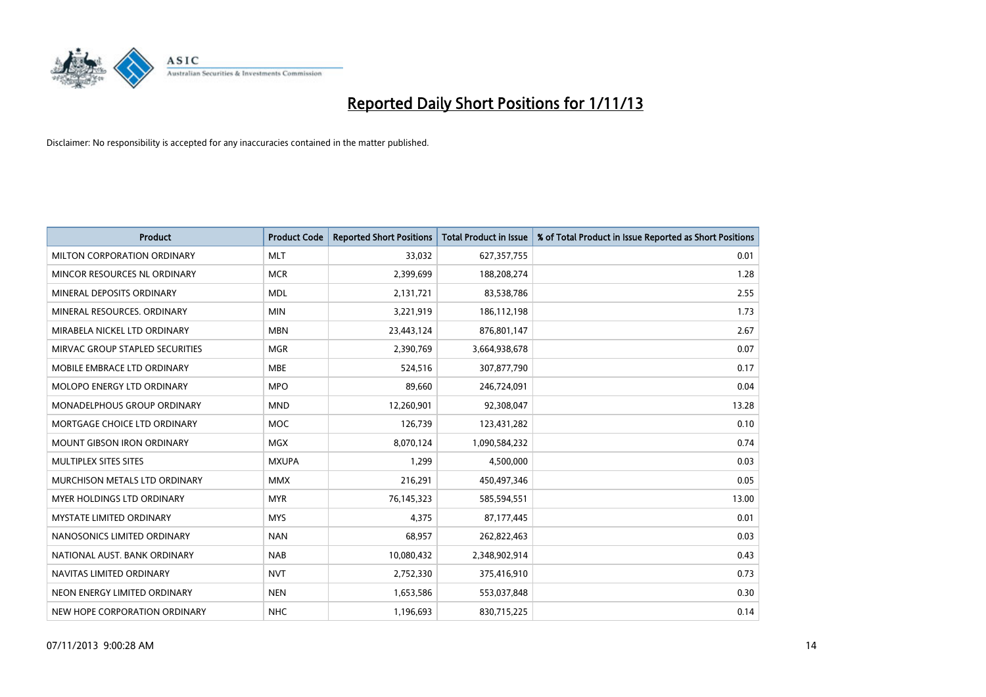

| <b>Product</b>                    | <b>Product Code</b> | <b>Reported Short Positions</b> | <b>Total Product in Issue</b> | % of Total Product in Issue Reported as Short Positions |
|-----------------------------------|---------------------|---------------------------------|-------------------------------|---------------------------------------------------------|
| MILTON CORPORATION ORDINARY       | <b>MLT</b>          | 33,032                          | 627,357,755                   | 0.01                                                    |
| MINCOR RESOURCES NL ORDINARY      | <b>MCR</b>          | 2,399,699                       | 188,208,274                   | 1.28                                                    |
| MINERAL DEPOSITS ORDINARY         | <b>MDL</b>          | 2,131,721                       | 83,538,786                    | 2.55                                                    |
| MINERAL RESOURCES. ORDINARY       | <b>MIN</b>          | 3,221,919                       | 186,112,198                   | 1.73                                                    |
| MIRABELA NICKEL LTD ORDINARY      | <b>MBN</b>          | 23,443,124                      | 876,801,147                   | 2.67                                                    |
| MIRVAC GROUP STAPLED SECURITIES   | <b>MGR</b>          | 2,390,769                       | 3,664,938,678                 | 0.07                                                    |
| MOBILE EMBRACE LTD ORDINARY       | <b>MBE</b>          | 524,516                         | 307,877,790                   | 0.17                                                    |
| MOLOPO ENERGY LTD ORDINARY        | <b>MPO</b>          | 89,660                          | 246,724,091                   | 0.04                                                    |
| MONADELPHOUS GROUP ORDINARY       | <b>MND</b>          | 12,260,901                      | 92,308,047                    | 13.28                                                   |
| MORTGAGE CHOICE LTD ORDINARY      | <b>MOC</b>          | 126,739                         | 123,431,282                   | 0.10                                                    |
| <b>MOUNT GIBSON IRON ORDINARY</b> | <b>MGX</b>          | 8,070,124                       | 1,090,584,232                 | 0.74                                                    |
| MULTIPLEX SITES SITES             | <b>MXUPA</b>        | 1,299                           | 4,500,000                     | 0.03                                                    |
| MURCHISON METALS LTD ORDINARY     | <b>MMX</b>          | 216,291                         | 450,497,346                   | 0.05                                                    |
| MYER HOLDINGS LTD ORDINARY        | <b>MYR</b>          | 76,145,323                      | 585,594,551                   | 13.00                                                   |
| <b>MYSTATE LIMITED ORDINARY</b>   | <b>MYS</b>          | 4,375                           | 87,177,445                    | 0.01                                                    |
| NANOSONICS LIMITED ORDINARY       | <b>NAN</b>          | 68,957                          | 262,822,463                   | 0.03                                                    |
| NATIONAL AUST. BANK ORDINARY      | <b>NAB</b>          | 10,080,432                      | 2,348,902,914                 | 0.43                                                    |
| NAVITAS LIMITED ORDINARY          | <b>NVT</b>          | 2,752,330                       | 375,416,910                   | 0.73                                                    |
| NEON ENERGY LIMITED ORDINARY      | <b>NEN</b>          | 1,653,586                       | 553,037,848                   | 0.30                                                    |
| NEW HOPE CORPORATION ORDINARY     | <b>NHC</b>          | 1,196,693                       | 830,715,225                   | 0.14                                                    |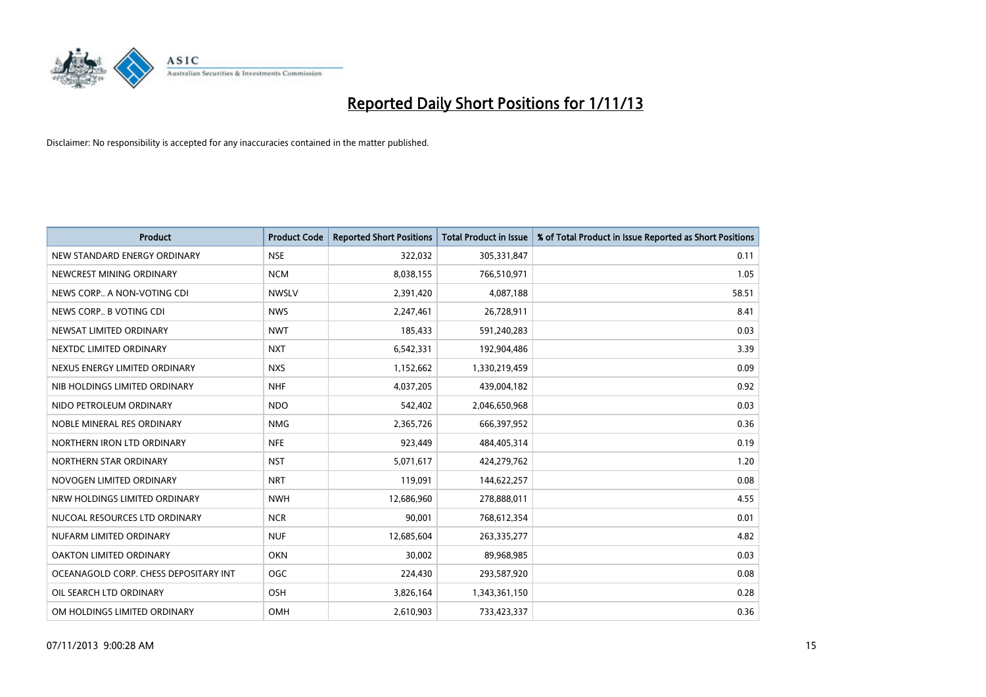

| <b>Product</b>                        | <b>Product Code</b> | <b>Reported Short Positions</b> | <b>Total Product in Issue</b> | % of Total Product in Issue Reported as Short Positions |
|---------------------------------------|---------------------|---------------------------------|-------------------------------|---------------------------------------------------------|
| NEW STANDARD ENERGY ORDINARY          | <b>NSE</b>          | 322,032                         | 305,331,847                   | 0.11                                                    |
| NEWCREST MINING ORDINARY              | <b>NCM</b>          | 8,038,155                       | 766,510,971                   | 1.05                                                    |
| NEWS CORP A NON-VOTING CDI            | <b>NWSLV</b>        | 2,391,420                       | 4,087,188                     | 58.51                                                   |
| NEWS CORP B VOTING CDI                | <b>NWS</b>          | 2,247,461                       | 26,728,911                    | 8.41                                                    |
| NEWSAT LIMITED ORDINARY               | <b>NWT</b>          | 185,433                         | 591,240,283                   | 0.03                                                    |
| NEXTDC LIMITED ORDINARY               | <b>NXT</b>          | 6,542,331                       | 192,904,486                   | 3.39                                                    |
| NEXUS ENERGY LIMITED ORDINARY         | <b>NXS</b>          | 1,152,662                       | 1,330,219,459                 | 0.09                                                    |
| NIB HOLDINGS LIMITED ORDINARY         | <b>NHF</b>          | 4,037,205                       | 439,004,182                   | 0.92                                                    |
| NIDO PETROLEUM ORDINARY               | <b>NDO</b>          | 542,402                         | 2,046,650,968                 | 0.03                                                    |
| NOBLE MINERAL RES ORDINARY            | <b>NMG</b>          | 2,365,726                       | 666,397,952                   | 0.36                                                    |
| NORTHERN IRON LTD ORDINARY            | <b>NFE</b>          | 923,449                         | 484,405,314                   | 0.19                                                    |
| NORTHERN STAR ORDINARY                | <b>NST</b>          | 5,071,617                       | 424,279,762                   | 1.20                                                    |
| NOVOGEN LIMITED ORDINARY              | <b>NRT</b>          | 119,091                         | 144,622,257                   | 0.08                                                    |
| NRW HOLDINGS LIMITED ORDINARY         | <b>NWH</b>          | 12,686,960                      | 278,888,011                   | 4.55                                                    |
| NUCOAL RESOURCES LTD ORDINARY         | <b>NCR</b>          | 90,001                          | 768,612,354                   | 0.01                                                    |
| NUFARM LIMITED ORDINARY               | <b>NUF</b>          | 12,685,604                      | 263,335,277                   | 4.82                                                    |
| OAKTON LIMITED ORDINARY               | <b>OKN</b>          | 30,002                          | 89,968,985                    | 0.03                                                    |
| OCEANAGOLD CORP. CHESS DEPOSITARY INT | <b>OGC</b>          | 224,430                         | 293,587,920                   | 0.08                                                    |
| OIL SEARCH LTD ORDINARY               | OSH                 | 3,826,164                       | 1,343,361,150                 | 0.28                                                    |
| OM HOLDINGS LIMITED ORDINARY          | OMH                 | 2,610,903                       | 733,423,337                   | 0.36                                                    |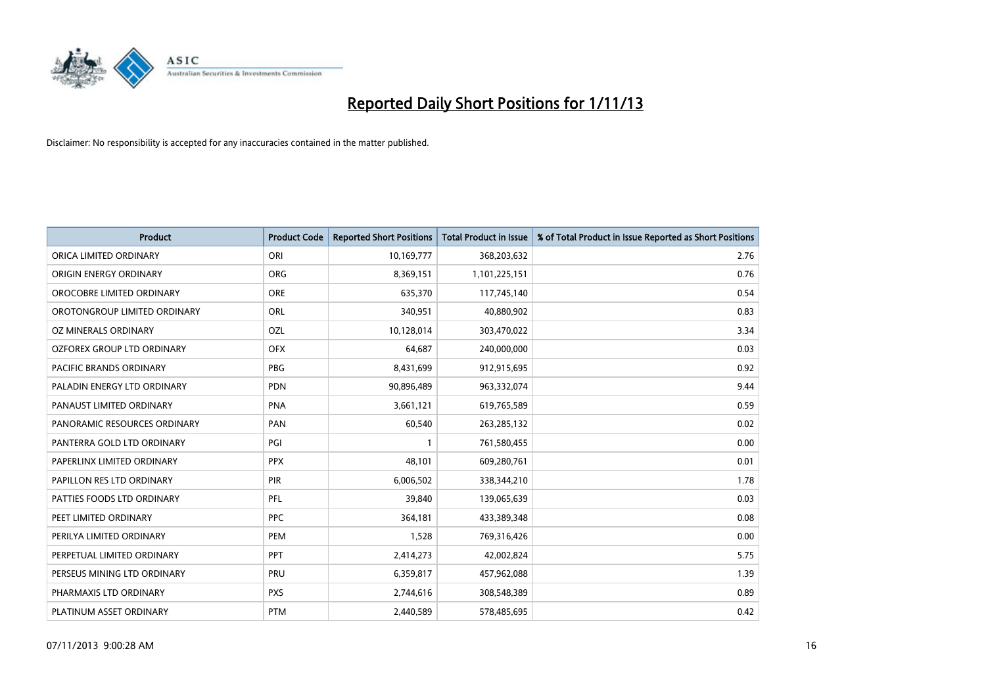

| <b>Product</b>               | <b>Product Code</b> | <b>Reported Short Positions</b> | <b>Total Product in Issue</b> | % of Total Product in Issue Reported as Short Positions |
|------------------------------|---------------------|---------------------------------|-------------------------------|---------------------------------------------------------|
| ORICA LIMITED ORDINARY       | ORI                 | 10,169,777                      | 368,203,632                   | 2.76                                                    |
| ORIGIN ENERGY ORDINARY       | <b>ORG</b>          | 8,369,151                       | 1,101,225,151                 | 0.76                                                    |
| OROCOBRE LIMITED ORDINARY    | <b>ORE</b>          | 635,370                         | 117,745,140                   | 0.54                                                    |
| OROTONGROUP LIMITED ORDINARY | <b>ORL</b>          | 340,951                         | 40,880,902                    | 0.83                                                    |
| OZ MINERALS ORDINARY         | OZL                 | 10,128,014                      | 303,470,022                   | 3.34                                                    |
| OZFOREX GROUP LTD ORDINARY   | <b>OFX</b>          | 64,687                          | 240,000,000                   | 0.03                                                    |
| PACIFIC BRANDS ORDINARY      | <b>PBG</b>          | 8,431,699                       | 912,915,695                   | 0.92                                                    |
| PALADIN ENERGY LTD ORDINARY  | <b>PDN</b>          | 90,896,489                      | 963,332,074                   | 9.44                                                    |
| PANAUST LIMITED ORDINARY     | <b>PNA</b>          | 3,661,121                       | 619,765,589                   | 0.59                                                    |
| PANORAMIC RESOURCES ORDINARY | PAN                 | 60,540                          | 263, 285, 132                 | 0.02                                                    |
| PANTERRA GOLD LTD ORDINARY   | PGI                 |                                 | 761,580,455                   | 0.00                                                    |
| PAPERLINX LIMITED ORDINARY   | <b>PPX</b>          | 48,101                          | 609,280,761                   | 0.01                                                    |
| PAPILLON RES LTD ORDINARY    | PIR                 | 6,006,502                       | 338,344,210                   | 1.78                                                    |
| PATTIES FOODS LTD ORDINARY   | PFL                 | 39,840                          | 139,065,639                   | 0.03                                                    |
| PEET LIMITED ORDINARY        | <b>PPC</b>          | 364,181                         | 433,389,348                   | 0.08                                                    |
| PERILYA LIMITED ORDINARY     | PEM                 | 1,528                           | 769,316,426                   | 0.00                                                    |
| PERPETUAL LIMITED ORDINARY   | <b>PPT</b>          | 2,414,273                       | 42,002,824                    | 5.75                                                    |
| PERSEUS MINING LTD ORDINARY  | <b>PRU</b>          | 6,359,817                       | 457,962,088                   | 1.39                                                    |
| PHARMAXIS LTD ORDINARY       | <b>PXS</b>          | 2,744,616                       | 308,548,389                   | 0.89                                                    |
| PLATINUM ASSET ORDINARY      | <b>PTM</b>          | 2,440,589                       | 578,485,695                   | 0.42                                                    |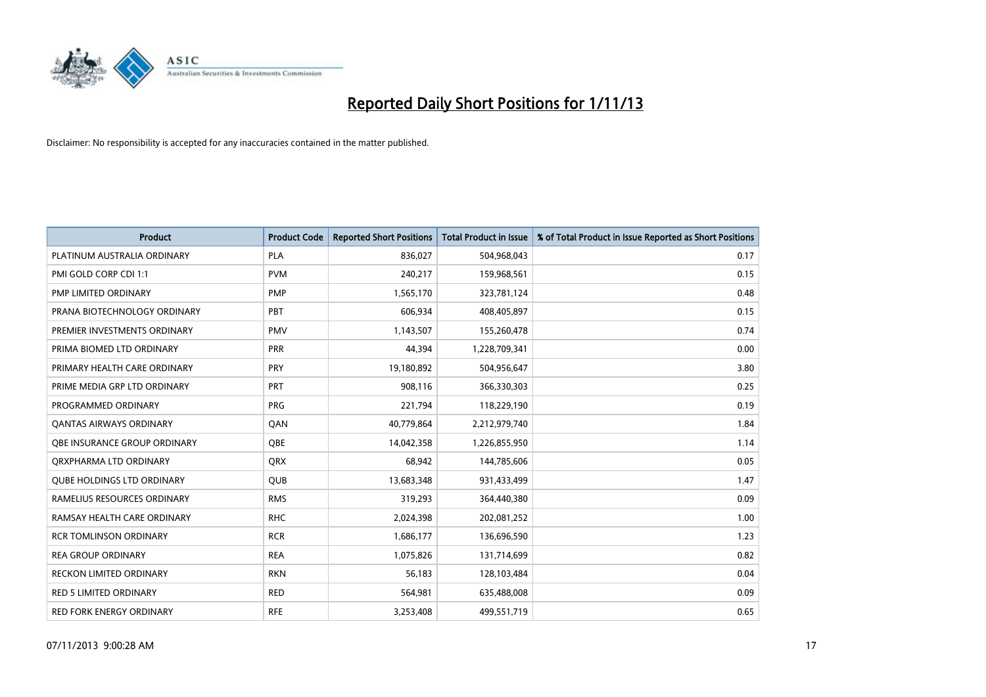

| <b>Product</b>                      | <b>Product Code</b> | <b>Reported Short Positions</b> | <b>Total Product in Issue</b> | % of Total Product in Issue Reported as Short Positions |
|-------------------------------------|---------------------|---------------------------------|-------------------------------|---------------------------------------------------------|
| PLATINUM AUSTRALIA ORDINARY         | <b>PLA</b>          | 836,027                         | 504,968,043                   | 0.17                                                    |
| PMI GOLD CORP CDI 1:1               | <b>PVM</b>          | 240,217                         | 159,968,561                   | 0.15                                                    |
| PMP LIMITED ORDINARY                | <b>PMP</b>          | 1,565,170                       | 323,781,124                   | 0.48                                                    |
| PRANA BIOTECHNOLOGY ORDINARY        | PBT                 | 606,934                         | 408,405,897                   | 0.15                                                    |
| PREMIER INVESTMENTS ORDINARY        | <b>PMV</b>          | 1,143,507                       | 155,260,478                   | 0.74                                                    |
| PRIMA BIOMED LTD ORDINARY           | <b>PRR</b>          | 44,394                          | 1,228,709,341                 | 0.00                                                    |
| PRIMARY HEALTH CARE ORDINARY        | <b>PRY</b>          | 19,180,892                      | 504,956,647                   | 3.80                                                    |
| PRIME MEDIA GRP LTD ORDINARY        | <b>PRT</b>          | 908,116                         | 366,330,303                   | 0.25                                                    |
| PROGRAMMED ORDINARY                 | <b>PRG</b>          | 221,794                         | 118,229,190                   | 0.19                                                    |
| <b>QANTAS AIRWAYS ORDINARY</b>      | QAN                 | 40,779,864                      | 2,212,979,740                 | 1.84                                                    |
| <b>OBE INSURANCE GROUP ORDINARY</b> | <b>OBE</b>          | 14,042,358                      | 1,226,855,950                 | 1.14                                                    |
| ORXPHARMA LTD ORDINARY              | QRX                 | 68,942                          | 144,785,606                   | 0.05                                                    |
| <b>QUBE HOLDINGS LTD ORDINARY</b>   | <b>QUB</b>          | 13,683,348                      | 931,433,499                   | 1.47                                                    |
| RAMELIUS RESOURCES ORDINARY         | <b>RMS</b>          | 319,293                         | 364,440,380                   | 0.09                                                    |
| RAMSAY HEALTH CARE ORDINARY         | <b>RHC</b>          | 2,024,398                       | 202,081,252                   | 1.00                                                    |
| <b>RCR TOMLINSON ORDINARY</b>       | <b>RCR</b>          | 1,686,177                       | 136,696,590                   | 1.23                                                    |
| <b>REA GROUP ORDINARY</b>           | <b>REA</b>          | 1,075,826                       | 131,714,699                   | 0.82                                                    |
| RECKON LIMITED ORDINARY             | <b>RKN</b>          | 56,183                          | 128,103,484                   | 0.04                                                    |
| <b>RED 5 LIMITED ORDINARY</b>       | <b>RED</b>          | 564,981                         | 635,488,008                   | 0.09                                                    |
| RED FORK ENERGY ORDINARY            | <b>RFE</b>          | 3,253,408                       | 499,551,719                   | 0.65                                                    |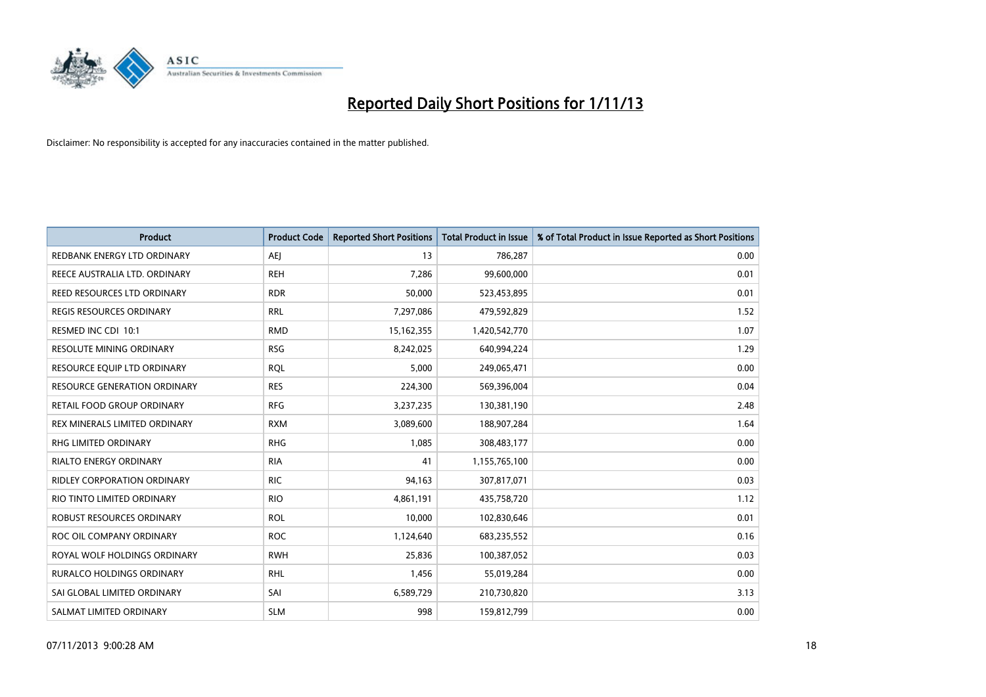

| Product                           | <b>Product Code</b> | <b>Reported Short Positions</b> | <b>Total Product in Issue</b> | % of Total Product in Issue Reported as Short Positions |
|-----------------------------------|---------------------|---------------------------------|-------------------------------|---------------------------------------------------------|
| REDBANK ENERGY LTD ORDINARY       | AEJ                 | 13                              | 786,287                       | 0.00                                                    |
| REECE AUSTRALIA LTD. ORDINARY     | <b>REH</b>          | 7,286                           | 99,600,000                    | 0.01                                                    |
| REED RESOURCES LTD ORDINARY       | <b>RDR</b>          | 50,000                          | 523,453,895                   | 0.01                                                    |
| REGIS RESOURCES ORDINARY          | <b>RRL</b>          | 7,297,086                       | 479,592,829                   | 1.52                                                    |
| RESMED INC CDI 10:1               | <b>RMD</b>          | 15,162,355                      | 1,420,542,770                 | 1.07                                                    |
| RESOLUTE MINING ORDINARY          | <b>RSG</b>          | 8,242,025                       | 640,994,224                   | 1.29                                                    |
| RESOURCE EQUIP LTD ORDINARY       | <b>RQL</b>          | 5,000                           | 249,065,471                   | 0.00                                                    |
| RESOURCE GENERATION ORDINARY      | <b>RES</b>          | 224,300                         | 569,396,004                   | 0.04                                                    |
| <b>RETAIL FOOD GROUP ORDINARY</b> | <b>RFG</b>          | 3,237,235                       | 130,381,190                   | 2.48                                                    |
| REX MINERALS LIMITED ORDINARY     | <b>RXM</b>          | 3,089,600                       | 188,907,284                   | 1.64                                                    |
| RHG LIMITED ORDINARY              | <b>RHG</b>          | 1,085                           | 308,483,177                   | 0.00                                                    |
| RIALTO ENERGY ORDINARY            | <b>RIA</b>          | 41                              | 1,155,765,100                 | 0.00                                                    |
| RIDLEY CORPORATION ORDINARY       | <b>RIC</b>          | 94,163                          | 307,817,071                   | 0.03                                                    |
| RIO TINTO LIMITED ORDINARY        | <b>RIO</b>          | 4,861,191                       | 435,758,720                   | 1.12                                                    |
| ROBUST RESOURCES ORDINARY         | <b>ROL</b>          | 10,000                          | 102,830,646                   | 0.01                                                    |
| ROC OIL COMPANY ORDINARY          | <b>ROC</b>          | 1,124,640                       | 683,235,552                   | 0.16                                                    |
| ROYAL WOLF HOLDINGS ORDINARY      | <b>RWH</b>          | 25,836                          | 100,387,052                   | 0.03                                                    |
| <b>RURALCO HOLDINGS ORDINARY</b>  | <b>RHL</b>          | 1,456                           | 55,019,284                    | 0.00                                                    |
| SAI GLOBAL LIMITED ORDINARY       | SAI                 | 6,589,729                       | 210,730,820                   | 3.13                                                    |
| SALMAT LIMITED ORDINARY           | <b>SLM</b>          | 998                             | 159,812,799                   | 0.00                                                    |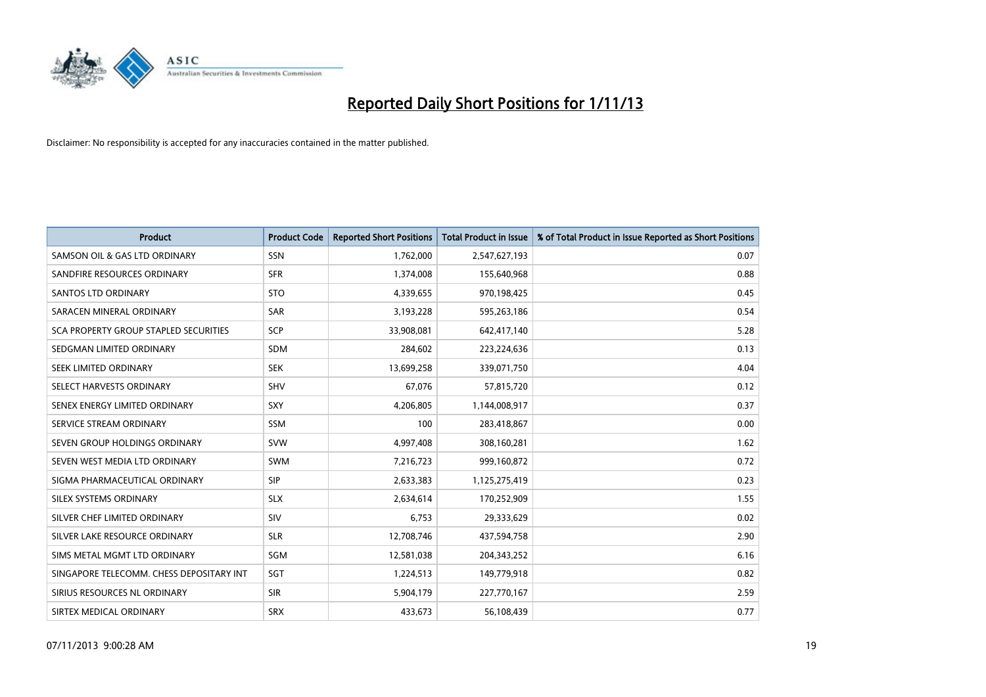

| <b>Product</b>                           | <b>Product Code</b> | <b>Reported Short Positions</b> | <b>Total Product in Issue</b> | % of Total Product in Issue Reported as Short Positions |
|------------------------------------------|---------------------|---------------------------------|-------------------------------|---------------------------------------------------------|
| SAMSON OIL & GAS LTD ORDINARY            | SSN                 | 1,762,000                       | 2,547,627,193                 | 0.07                                                    |
| SANDFIRE RESOURCES ORDINARY              | <b>SFR</b>          | 1,374,008                       | 155,640,968                   | 0.88                                                    |
| <b>SANTOS LTD ORDINARY</b>               | <b>STO</b>          | 4,339,655                       | 970,198,425                   | 0.45                                                    |
| SARACEN MINERAL ORDINARY                 | <b>SAR</b>          | 3,193,228                       | 595,263,186                   | 0.54                                                    |
| SCA PROPERTY GROUP STAPLED SECURITIES    | SCP                 | 33,908,081                      | 642,417,140                   | 5.28                                                    |
| SEDGMAN LIMITED ORDINARY                 | <b>SDM</b>          | 284,602                         | 223,224,636                   | 0.13                                                    |
| SEEK LIMITED ORDINARY                    | <b>SEK</b>          | 13,699,258                      | 339,071,750                   | 4.04                                                    |
| SELECT HARVESTS ORDINARY                 | <b>SHV</b>          | 67,076                          | 57,815,720                    | 0.12                                                    |
| SENEX ENERGY LIMITED ORDINARY            | SXY                 | 4,206,805                       | 1,144,008,917                 | 0.37                                                    |
| SERVICE STREAM ORDINARY                  | <b>SSM</b>          | 100                             | 283,418,867                   | 0.00                                                    |
| SEVEN GROUP HOLDINGS ORDINARY            | <b>SVW</b>          | 4,997,408                       | 308,160,281                   | 1.62                                                    |
| SEVEN WEST MEDIA LTD ORDINARY            | SWM                 | 7,216,723                       | 999,160,872                   | 0.72                                                    |
| SIGMA PHARMACEUTICAL ORDINARY            | <b>SIP</b>          | 2,633,383                       | 1,125,275,419                 | 0.23                                                    |
| SILEX SYSTEMS ORDINARY                   | <b>SLX</b>          | 2,634,614                       | 170,252,909                   | 1.55                                                    |
| SILVER CHEF LIMITED ORDINARY             | SIV                 | 6,753                           | 29,333,629                    | 0.02                                                    |
| SILVER LAKE RESOURCE ORDINARY            | <b>SLR</b>          | 12,708,746                      | 437,594,758                   | 2.90                                                    |
| SIMS METAL MGMT LTD ORDINARY             | SGM                 | 12,581,038                      | 204,343,252                   | 6.16                                                    |
| SINGAPORE TELECOMM. CHESS DEPOSITARY INT | SGT                 | 1,224,513                       | 149,779,918                   | 0.82                                                    |
| SIRIUS RESOURCES NL ORDINARY             | <b>SIR</b>          | 5,904,179                       | 227,770,167                   | 2.59                                                    |
| SIRTEX MEDICAL ORDINARY                  | <b>SRX</b>          | 433,673                         | 56,108,439                    | 0.77                                                    |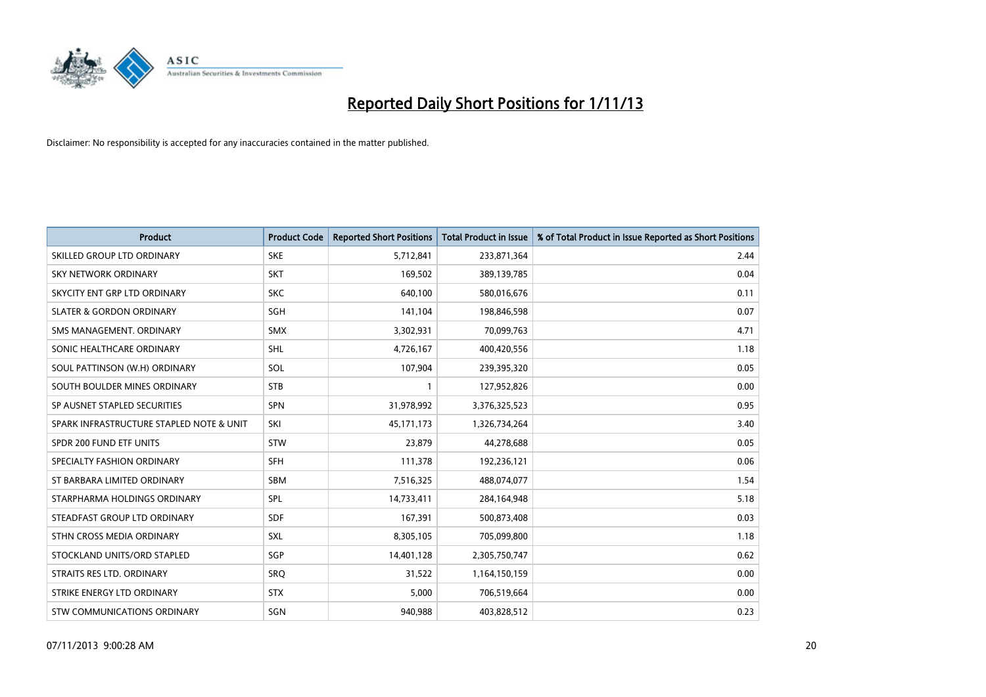

| <b>Product</b>                           | <b>Product Code</b> | <b>Reported Short Positions</b> | <b>Total Product in Issue</b> | % of Total Product in Issue Reported as Short Positions |
|------------------------------------------|---------------------|---------------------------------|-------------------------------|---------------------------------------------------------|
| SKILLED GROUP LTD ORDINARY               | <b>SKE</b>          | 5,712,841                       | 233,871,364                   | 2.44                                                    |
| SKY NETWORK ORDINARY                     | <b>SKT</b>          | 169,502                         | 389,139,785                   | 0.04                                                    |
| SKYCITY ENT GRP LTD ORDINARY             | <b>SKC</b>          | 640,100                         | 580,016,676                   | 0.11                                                    |
| <b>SLATER &amp; GORDON ORDINARY</b>      | SGH                 | 141,104                         | 198,846,598                   | 0.07                                                    |
| SMS MANAGEMENT, ORDINARY                 | SMX                 | 3,302,931                       | 70,099,763                    | 4.71                                                    |
| SONIC HEALTHCARE ORDINARY                | <b>SHL</b>          | 4,726,167                       | 400,420,556                   | 1.18                                                    |
| SOUL PATTINSON (W.H) ORDINARY            | SOL                 | 107,904                         | 239,395,320                   | 0.05                                                    |
| SOUTH BOULDER MINES ORDINARY             | <b>STB</b>          | $\mathbf{1}$                    | 127,952,826                   | 0.00                                                    |
| SP AUSNET STAPLED SECURITIES             | SPN                 | 31,978,992                      | 3,376,325,523                 | 0.95                                                    |
| SPARK INFRASTRUCTURE STAPLED NOTE & UNIT | SKI                 | 45,171,173                      | 1,326,734,264                 | 3.40                                                    |
| SPDR 200 FUND ETF UNITS                  | <b>STW</b>          | 23,879                          | 44,278,688                    | 0.05                                                    |
| SPECIALTY FASHION ORDINARY               | <b>SFH</b>          | 111,378                         | 192,236,121                   | 0.06                                                    |
| ST BARBARA LIMITED ORDINARY              | <b>SBM</b>          | 7,516,325                       | 488,074,077                   | 1.54                                                    |
| STARPHARMA HOLDINGS ORDINARY             | SPL                 | 14,733,411                      | 284,164,948                   | 5.18                                                    |
| STEADFAST GROUP LTD ORDINARY             | <b>SDF</b>          | 167,391                         | 500,873,408                   | 0.03                                                    |
| STHN CROSS MEDIA ORDINARY                | SXL                 | 8,305,105                       | 705,099,800                   | 1.18                                                    |
| STOCKLAND UNITS/ORD STAPLED              | SGP                 | 14,401,128                      | 2,305,750,747                 | 0.62                                                    |
| STRAITS RES LTD. ORDINARY                | <b>SRQ</b>          | 31,522                          | 1,164,150,159                 | 0.00                                                    |
| STRIKE ENERGY LTD ORDINARY               | <b>STX</b>          | 5,000                           | 706,519,664                   | 0.00                                                    |
| STW COMMUNICATIONS ORDINARY              | SGN                 | 940,988                         | 403,828,512                   | 0.23                                                    |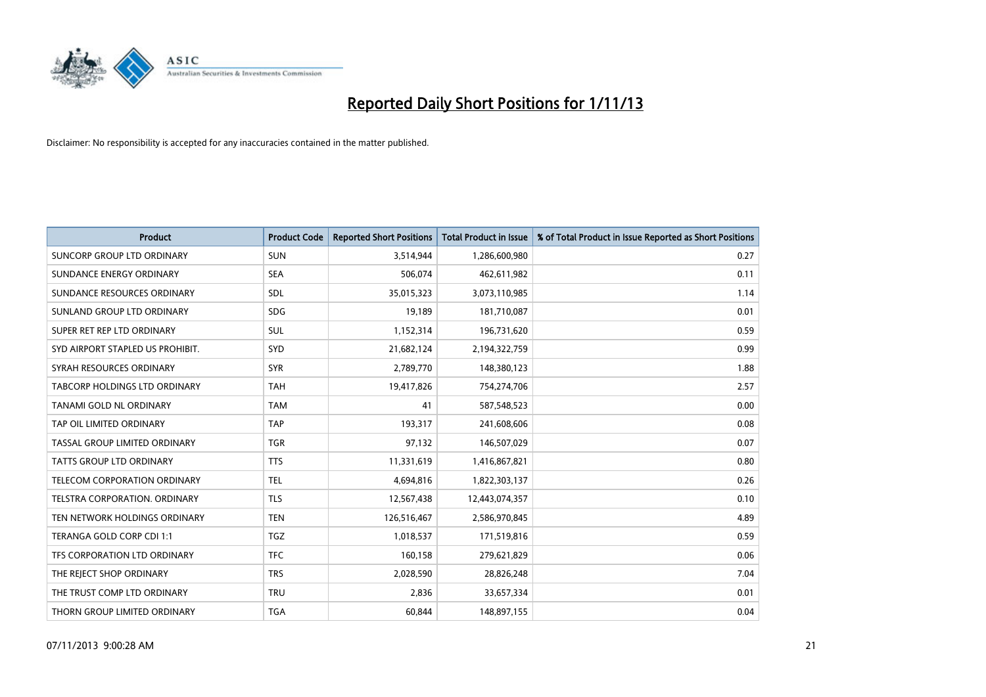

| <b>Product</b>                    | <b>Product Code</b> | <b>Reported Short Positions</b> | <b>Total Product in Issue</b> | % of Total Product in Issue Reported as Short Positions |
|-----------------------------------|---------------------|---------------------------------|-------------------------------|---------------------------------------------------------|
| <b>SUNCORP GROUP LTD ORDINARY</b> | <b>SUN</b>          | 3,514,944                       | 1,286,600,980                 | 0.27                                                    |
| SUNDANCE ENERGY ORDINARY          | <b>SEA</b>          | 506,074                         | 462,611,982                   | 0.11                                                    |
| SUNDANCE RESOURCES ORDINARY       | <b>SDL</b>          | 35,015,323                      | 3,073,110,985                 | 1.14                                                    |
| SUNLAND GROUP LTD ORDINARY        | <b>SDG</b>          | 19,189                          | 181,710,087                   | 0.01                                                    |
| SUPER RET REP LTD ORDINARY        | SUL                 | 1,152,314                       | 196,731,620                   | 0.59                                                    |
| SYD AIRPORT STAPLED US PROHIBIT.  | <b>SYD</b>          | 21,682,124                      | 2,194,322,759                 | 0.99                                                    |
| SYRAH RESOURCES ORDINARY          | <b>SYR</b>          | 2,789,770                       | 148,380,123                   | 1.88                                                    |
| TABCORP HOLDINGS LTD ORDINARY     | <b>TAH</b>          | 19,417,826                      | 754,274,706                   | 2.57                                                    |
| <b>TANAMI GOLD NL ORDINARY</b>    | <b>TAM</b>          | 41                              | 587,548,523                   | 0.00                                                    |
| TAP OIL LIMITED ORDINARY          | <b>TAP</b>          | 193,317                         | 241,608,606                   | 0.08                                                    |
| TASSAL GROUP LIMITED ORDINARY     | <b>TGR</b>          | 97,132                          | 146,507,029                   | 0.07                                                    |
| <b>TATTS GROUP LTD ORDINARY</b>   | <b>TTS</b>          | 11,331,619                      | 1,416,867,821                 | 0.80                                                    |
| TELECOM CORPORATION ORDINARY      | <b>TEL</b>          | 4,694,816                       | 1,822,303,137                 | 0.26                                                    |
| TELSTRA CORPORATION, ORDINARY     | <b>TLS</b>          | 12,567,438                      | 12,443,074,357                | 0.10                                                    |
| TEN NETWORK HOLDINGS ORDINARY     | <b>TEN</b>          | 126,516,467                     | 2,586,970,845                 | 4.89                                                    |
| TERANGA GOLD CORP CDI 1:1         | <b>TGZ</b>          | 1,018,537                       | 171,519,816                   | 0.59                                                    |
| TFS CORPORATION LTD ORDINARY      | <b>TFC</b>          | 160,158                         | 279,621,829                   | 0.06                                                    |
| THE REJECT SHOP ORDINARY          | <b>TRS</b>          | 2,028,590                       | 28,826,248                    | 7.04                                                    |
| THE TRUST COMP LTD ORDINARY       | <b>TRU</b>          | 2,836                           | 33,657,334                    | 0.01                                                    |
| THORN GROUP LIMITED ORDINARY      | <b>TGA</b>          | 60,844                          | 148,897,155                   | 0.04                                                    |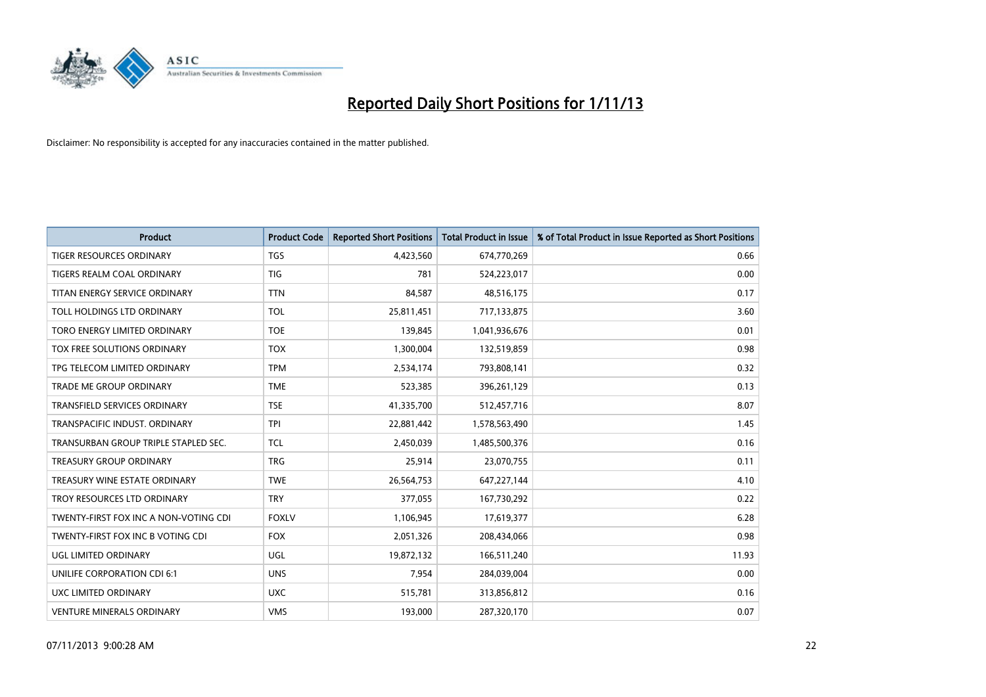

| <b>Product</b>                        | <b>Product Code</b> | <b>Reported Short Positions</b> | <b>Total Product in Issue</b> | % of Total Product in Issue Reported as Short Positions |
|---------------------------------------|---------------------|---------------------------------|-------------------------------|---------------------------------------------------------|
| <b>TIGER RESOURCES ORDINARY</b>       | <b>TGS</b>          | 4,423,560                       | 674,770,269                   | 0.66                                                    |
| TIGERS REALM COAL ORDINARY            | TIG                 | 781                             | 524,223,017                   | 0.00                                                    |
| TITAN ENERGY SERVICE ORDINARY         | <b>TTN</b>          | 84,587                          | 48,516,175                    | 0.17                                                    |
| TOLL HOLDINGS LTD ORDINARY            | <b>TOL</b>          | 25,811,451                      | 717,133,875                   | 3.60                                                    |
| TORO ENERGY LIMITED ORDINARY          | <b>TOE</b>          | 139,845                         | 1,041,936,676                 | 0.01                                                    |
| TOX FREE SOLUTIONS ORDINARY           | <b>TOX</b>          | 1,300,004                       | 132,519,859                   | 0.98                                                    |
| TPG TELECOM LIMITED ORDINARY          | <b>TPM</b>          | 2,534,174                       | 793,808,141                   | 0.32                                                    |
| TRADE ME GROUP ORDINARY               | <b>TME</b>          | 523,385                         | 396,261,129                   | 0.13                                                    |
| <b>TRANSFIELD SERVICES ORDINARY</b>   | <b>TSE</b>          | 41,335,700                      | 512,457,716                   | 8.07                                                    |
| TRANSPACIFIC INDUST, ORDINARY         | <b>TPI</b>          | 22,881,442                      | 1,578,563,490                 | 1.45                                                    |
| TRANSURBAN GROUP TRIPLE STAPLED SEC.  | <b>TCL</b>          | 2,450,039                       | 1,485,500,376                 | 0.16                                                    |
| <b>TREASURY GROUP ORDINARY</b>        | <b>TRG</b>          | 25,914                          | 23,070,755                    | 0.11                                                    |
| TREASURY WINE ESTATE ORDINARY         | <b>TWE</b>          | 26,564,753                      | 647,227,144                   | 4.10                                                    |
| TROY RESOURCES LTD ORDINARY           | <b>TRY</b>          | 377,055                         | 167,730,292                   | 0.22                                                    |
| TWENTY-FIRST FOX INC A NON-VOTING CDI | <b>FOXLV</b>        | 1,106,945                       | 17,619,377                    | 6.28                                                    |
| TWENTY-FIRST FOX INC B VOTING CDI     | <b>FOX</b>          | 2,051,326                       | 208,434,066                   | 0.98                                                    |
| UGL LIMITED ORDINARY                  | UGL                 | 19,872,132                      | 166,511,240                   | 11.93                                                   |
| UNILIFE CORPORATION CDI 6:1           | <b>UNS</b>          | 7,954                           | 284,039,004                   | 0.00                                                    |
| UXC LIMITED ORDINARY                  | <b>UXC</b>          | 515,781                         | 313,856,812                   | 0.16                                                    |
| <b>VENTURE MINERALS ORDINARY</b>      | <b>VMS</b>          | 193,000                         | 287,320,170                   | 0.07                                                    |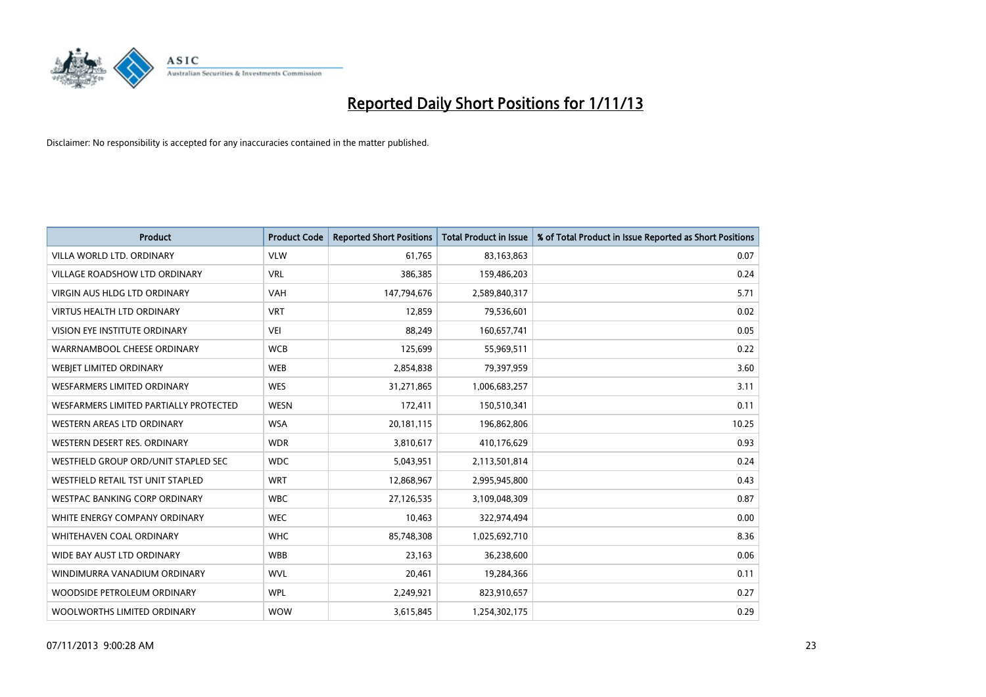

| <b>Product</b>                         | <b>Product Code</b> | <b>Reported Short Positions</b> | <b>Total Product in Issue</b> | % of Total Product in Issue Reported as Short Positions |
|----------------------------------------|---------------------|---------------------------------|-------------------------------|---------------------------------------------------------|
| VILLA WORLD LTD, ORDINARY              | <b>VLW</b>          | 61.765                          | 83,163,863                    | 0.07                                                    |
| <b>VILLAGE ROADSHOW LTD ORDINARY</b>   | <b>VRL</b>          | 386,385                         | 159,486,203                   | 0.24                                                    |
| <b>VIRGIN AUS HLDG LTD ORDINARY</b>    | <b>VAH</b>          | 147,794,676                     | 2,589,840,317                 | 5.71                                                    |
| <b>VIRTUS HEALTH LTD ORDINARY</b>      | <b>VRT</b>          | 12,859                          | 79,536,601                    | 0.02                                                    |
| VISION EYE INSTITUTE ORDINARY          | <b>VEI</b>          | 88,249                          | 160,657,741                   | 0.05                                                    |
| WARRNAMBOOL CHEESE ORDINARY            | <b>WCB</b>          | 125,699                         | 55,969,511                    | 0.22                                                    |
| WEBIET LIMITED ORDINARY                | <b>WEB</b>          | 2,854,838                       | 79,397,959                    | 3.60                                                    |
| <b>WESFARMERS LIMITED ORDINARY</b>     | <b>WES</b>          | 31,271,865                      | 1,006,683,257                 | 3.11                                                    |
| WESFARMERS LIMITED PARTIALLY PROTECTED | <b>WESN</b>         | 172,411                         | 150,510,341                   | 0.11                                                    |
| WESTERN AREAS LTD ORDINARY             | <b>WSA</b>          | 20,181,115                      | 196,862,806                   | 10.25                                                   |
| WESTERN DESERT RES. ORDINARY           | <b>WDR</b>          | 3,810,617                       | 410,176,629                   | 0.93                                                    |
| WESTFIELD GROUP ORD/UNIT STAPLED SEC   | <b>WDC</b>          | 5,043,951                       | 2,113,501,814                 | 0.24                                                    |
| WESTFIELD RETAIL TST UNIT STAPLED      | <b>WRT</b>          | 12,868,967                      | 2,995,945,800                 | 0.43                                                    |
| <b>WESTPAC BANKING CORP ORDINARY</b>   | <b>WBC</b>          | 27,126,535                      | 3,109,048,309                 | 0.87                                                    |
| WHITE ENERGY COMPANY ORDINARY          | <b>WEC</b>          | 10,463                          | 322,974,494                   | 0.00                                                    |
| WHITEHAVEN COAL ORDINARY               | <b>WHC</b>          | 85,748,308                      | 1,025,692,710                 | 8.36                                                    |
| WIDE BAY AUST LTD ORDINARY             | <b>WBB</b>          | 23,163                          | 36,238,600                    | 0.06                                                    |
| WINDIMURRA VANADIUM ORDINARY           | <b>WVL</b>          | 20,461                          | 19,284,366                    | 0.11                                                    |
| WOODSIDE PETROLEUM ORDINARY            | <b>WPL</b>          | 2,249,921                       | 823,910,657                   | 0.27                                                    |
| WOOLWORTHS LIMITED ORDINARY            | <b>WOW</b>          | 3,615,845                       | 1,254,302,175                 | 0.29                                                    |